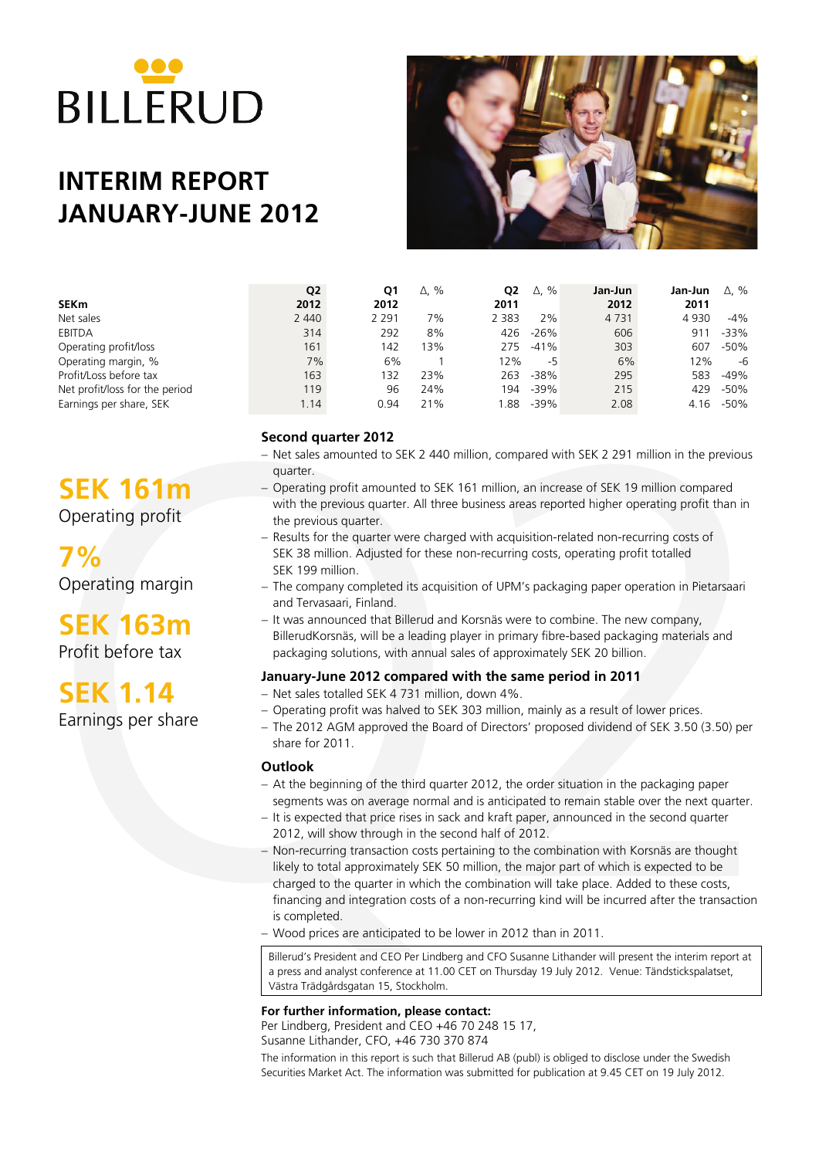# **BILLERUD**

# **INTERIM REPORT JANUARY-JUNE 2012**



|                                | Q <sub>2</sub> | Q1      | $\Delta$ , % | Q <sub>2</sub> | %<br>Δ, | Jan-Jun | Jan-Jun | $\Delta$ , % |
|--------------------------------|----------------|---------|--------------|----------------|---------|---------|---------|--------------|
| <b>SEKm</b>                    | 2012           | 2012    |              | 2011           |         | 2012    | 2011    |              |
| Net sales                      | 2 4 4 0        | 2 2 9 1 | 7%           | 2 3 8 3        | 2%      | 4 7 3 1 | 4 9 3 0 | $-4\%$       |
| EBITDA                         | 314            | 292     | 8%           | 426            | $-26%$  | 606     | 91      | $-33%$       |
| Operating profit/loss          | 161            | 142     | 13%          | 275            | $-41%$  | 303     | 607     | -50%         |
| Operating margin, %            | 7%             | 6%      |              | 12%            | -5      | 6%      | 12%     | -6           |
| Profit/Loss before tax         | 163            | 132     | 23%          | 263            | $-38%$  | 295     | 583     | $-49%$       |
| Net profit/loss for the period | 119            | 96      | 24%          | 194            | $-39%$  | 215     | 429     | -50%         |
| Earnings per share, SEK        | 1.14           | 0.94    | 21%          | .88            | $-39%$  | 2.08    | 4.16    | -50%         |

# **Second quarter 2012**

- − Net sales amounted to SEK 2 440 million, compared with SEK 2 291 million in the previous quarter.
- − Operating profit amounted to SEK 161 million, an increase of SEK 19 million compared with the previous quarter. All three business areas reported higher operating profit than in the previous quarter.
- − Results for the quarter were charged with acquisition-related non-recurring costs of SEK 38 million. Adjusted for these non-recurring costs, operating profit totalled SEK 199 million.
- − The company completed its acquisition of UPM's packaging paper operation in Pietarsaari and Tervasaari, Finland.
- − It was announced that Billerud and Korsnäs were to combine. The new company, BillerudKorsnäs, will be a leading player in primary fibre-based packaging materials and packaging solutions, with annual sales of approximately SEK 20 billion.

# **January-June 2012 compared with the same period in 2011**

- − Net sales totalled SEK 4 731 million, down 4%.
- − Operating profit was halved to SEK 303 million, mainly as a result of lower prices.
- − The 2012 AGM approved the Board of Directors' proposed dividend of SEK 3.50 (3.50) per share for 2011.

# **Outlook**

- − At the beginning of the third quarter 2012, the order situation in the packaging paper segments was on average normal and is anticipated to remain stable over the next quarter.
- − It is expected that price rises in sack and kraft paper, announced in the second quarter 2012, will show through in the second half of 2012.
- **EK 1611**<br>
guidter and the providing profilment and SEK 161 million, an increase of SEK 19 million compared<br>
perading profilment the provide summer. All three business areas reported higher operating profilment<br>
the previ − Non-recurring transaction costs pertaining to the combination with Korsnäs are thought likely to total approximately SEK 50 million, the major part of which is expected to be charged to the quarter in which the combination will take place. Added to these costs, financing and integration costs of a non-recurring kind will be incurred after the transaction is completed.
	- − Wood prices are anticipated to be lower in 2012 than in 2011.

Billerud's President and CEO Per Lindberg and CFO Susanne Lithander will present the interim report at a press and analyst conference at 11.00 CET on Thursday 19 July 2012. Venue: Tändstickspalatset, Västra Trädgårdsgatan 15, Stockholm.

**For further information, please contact:**

Per Lindberg, President and CEO +46 70 248 15 17, Susanne Lithander, CFO, +46 730 370 874

The information in this report is such that Billerud AB (publ) is obliged to disclose under the Swedish Securities Market Act. The information was submitted for publication at 9.45 CET on 19 July 2012.

# **SEK 161m**

Operating profit

**7%** Operating margin

**SEK 163m**

Profit before tax

**SEK 1.14**

Earnings per share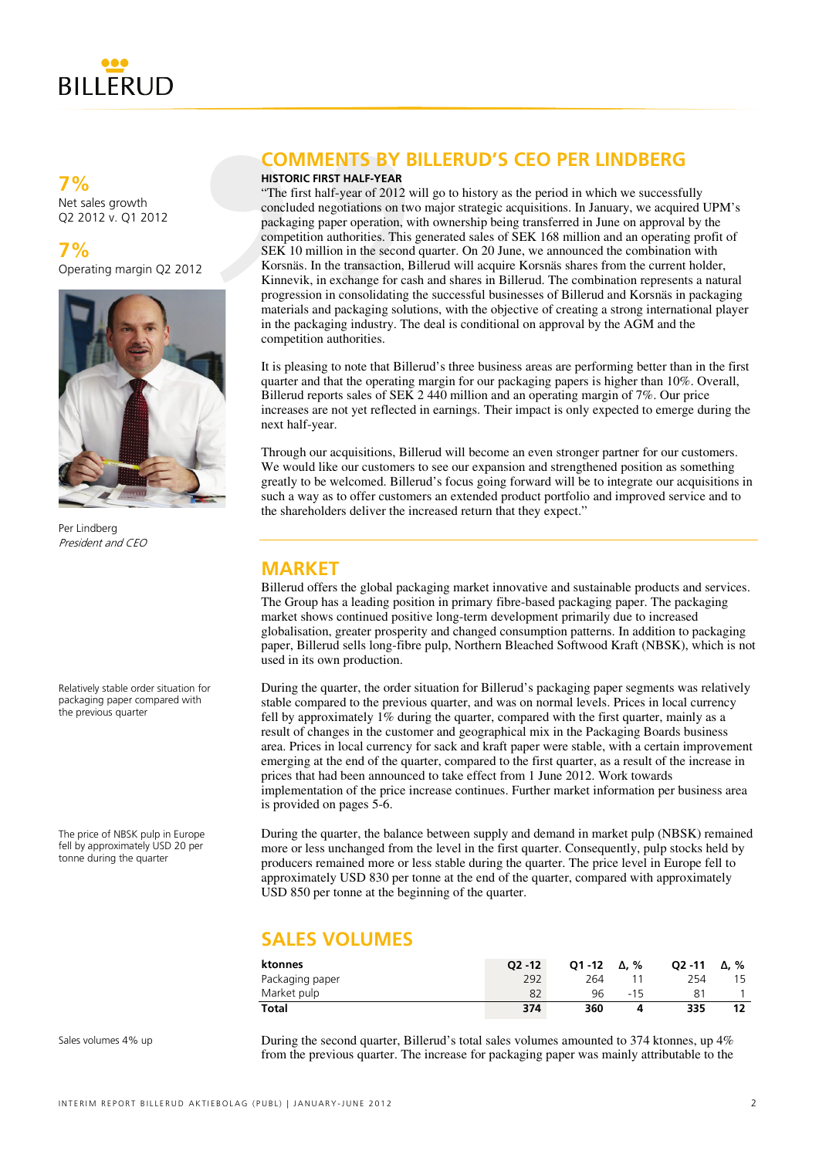

**7%** Net sales growth Q2 2012 v. Q1 2012

**7%** Operating margin Q2 2012



Per Lindberg President and CEO

Relatively stable order situation for packaging paper compared with the previous quarter

The price of NBSK pulp in Europe fell by approximately USD 20 per tonne during the quarter

# **COMMENTS BY BILLERUD'S CEO PER LINDBERG**

### **HISTORIC FIRST HALF-YEAR**

**COMMENTS BY**<br> **HISTORIC FIRST HALF-YEAR**<br>
"The first half-year of 2012<br>
concluded negotiations on t<br>
packaging paper operation,<br>
competition authorities. Thi<br>
SEK 10 million in the secon<br>
Korsnäs. In the transaction,<br>
Kin "The first half-year of 2012 will go to history as the period in which we successfully concluded negotiations on two major strategic acquisitions. In January, we acquired UPM's packaging paper operation, with ownership being transferred in June on approval by the competition authorities. This generated sales of SEK 168 million and an operating profit of SEK 10 million in the second quarter. On 20 June, we announced the combination with Korsnäs. In the transaction, Billerud will acquire Korsnäs shares from the current holder, Kinnevik, in exchange for cash and shares in Billerud. The combination represents a natural progression in consolidating the successful businesses of Billerud and Korsnäs in packaging materials and packaging solutions, with the objective of creating a strong international player in the packaging industry. The deal is conditional on approval by the AGM and the competition authorities.

It is pleasing to note that Billerud's three business areas are performing better than in the first quarter and that the operating margin for our packaging papers is higher than 10%. Overall, Billerud reports sales of SEK 2 440 million and an operating margin of 7%. Our price increases are not yet reflected in earnings. Their impact is only expected to emerge during the next half-year.

Through our acquisitions, Billerud will become an even stronger partner for our customers. We would like our customers to see our expansion and strengthened position as something greatly to be welcomed. Billerud's focus going forward will be to integrate our acquisitions in such a way as to offer customers an extended product portfolio and improved service and to the shareholders deliver the increased return that they expect."

# **MARKET**

Billerud offers the global packaging market innovative and sustainable products and services. The Group has a leading position in primary fibre-based packaging paper. The packaging market shows continued positive long-term development primarily due to increased globalisation, greater prosperity and changed consumption patterns. In addition to packaging paper, Billerud sells long-fibre pulp, Northern Bleached Softwood Kraft (NBSK), which is not used in its own production.

During the quarter, the order situation for Billerud's packaging paper segments was relatively stable compared to the previous quarter, and was on normal levels. Prices in local currency fell by approximately 1% during the quarter, compared with the first quarter, mainly as a result of changes in the customer and geographical mix in the Packaging Boards business area. Prices in local currency for sack and kraft paper were stable, with a certain improvement emerging at the end of the quarter, compared to the first quarter, as a result of the increase in prices that had been announced to take effect from 1 June 2012. Work towards implementation of the price increase continues. Further market information per business area is provided on pages 5-6.

During the quarter, the balance between supply and demand in market pulp (NBSK) remained more or less unchanged from the level in the first quarter. Consequently, pulp stocks held by producers remained more or less stable during the quarter. The price level in Europe fell to approximately USD 830 per tonne at the end of the quarter, compared with approximately USD 850 per tonne at the beginning of the quarter.

# **SALES VOLUMES**

| ktonnes         | $O2 - 12$ | $O1 - 12$ | Δ. % | $O2 - 11$ | Δ. % |
|-----------------|-----------|-----------|------|-----------|------|
| Packaging paper | 292       | 264       |      | 254       |      |
| Market pulp     | 82        | 96        | -15  |           |      |
| Total           | 374       | 360       |      | 335       |      |

Sales volumes 4% up

During the second quarter, Billerud's total sales volumes amounted to 374 ktonnes, up 4% from the previous quarter. The increase for packaging paper was mainly attributable to the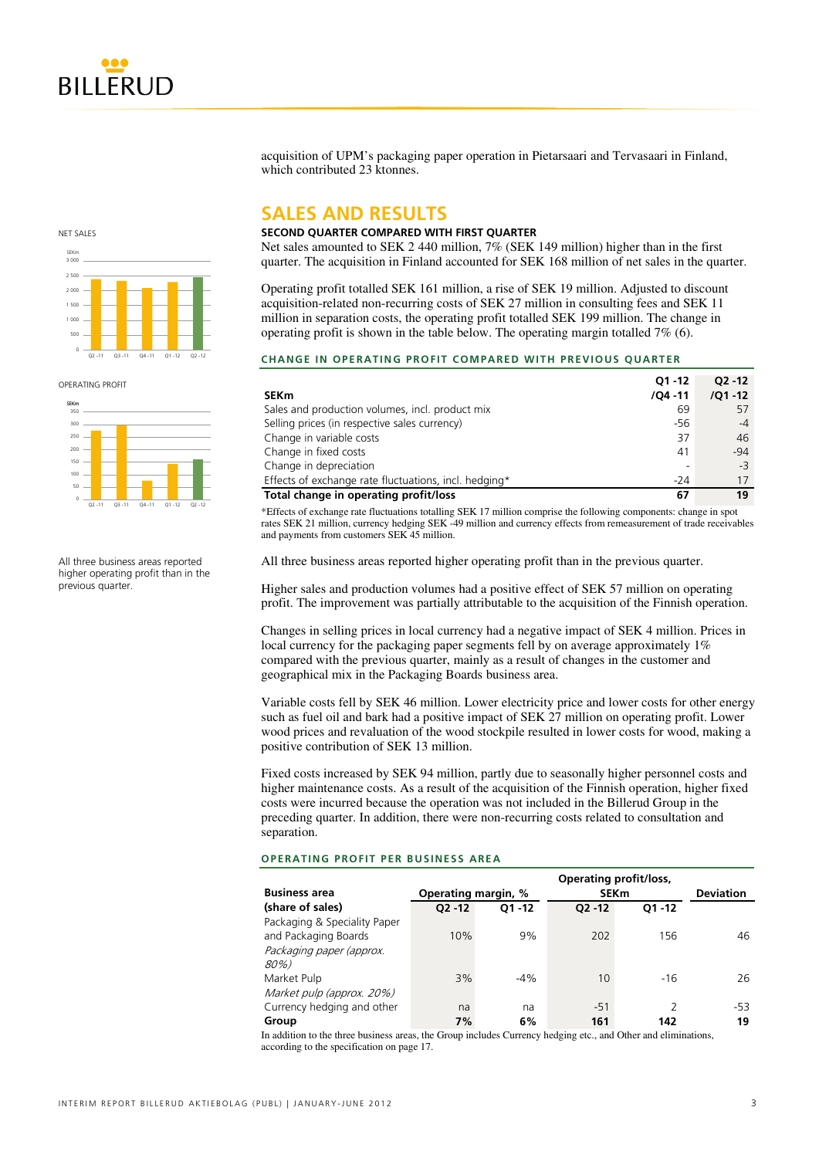acquisition of UPM's packaging paper operation in Pietarsaari and Tervasaari in Finland, which contributed 23 ktonnes.

# **SALES AND RESULTS**

### **SECOND QUARTER COMPARED WITH FIRST QUARTER**

Net sales amounted to SEK 2 440 million, 7% (SEK 149 million) higher than in the first quarter. The acquisition in Finland accounted for SEK 168 million of net sales in the quarter.

Operating profit totalled SEK 161 million, a rise of SEK 19 million. Adjusted to discount acquisition-related non-recurring costs of SEK 27 million in consulting fees and SEK 11 million in separation costs, the operating profit totalled SEK 199 million. The change in operating profit is shown in the table below. The operating margin totalled 7% (6).

### **CHANGE IN OPERATING PROFIT COMPARED WITH PREVIOUS QUARTER**

| <b>SEKm</b>                                           | $O1 - 12$<br>$/04 - 11$ | $O2 - 12$<br>$/Q1 - 12$ |
|-------------------------------------------------------|-------------------------|-------------------------|
| Sales and production volumes, incl. product mix       | 69                      | 57                      |
| Selling prices (in respective sales currency)         | -56                     | $-4$                    |
| Change in variable costs                              | 37                      | 46                      |
| Change in fixed costs                                 | 41                      | $-94$                   |
| Change in depreciation                                | -                       | $-3$                    |
| Effects of exchange rate fluctuations, incl. hedging* | $-24$                   | 17                      |
| Total change in operating profit/loss                 | 67                      | 19                      |

\*Effects of exchange rate fluctuations totalling SEK 17 million comprise the following components: change in spot rates SEK 21 million, currency hedging SEK -49 million and currency effects from remeasurement of trade receivables and payments from customers SEK 45 million.

All three business areas reported higher operating profit than in the previous quarter.

Higher sales and production volumes had a positive effect of SEK 57 million on operating profit. The improvement was partially attributable to the acquisition of the Finnish operation.

Changes in selling prices in local currency had a negative impact of SEK 4 million. Prices in local currency for the packaging paper segments fell by on average approximately 1% compared with the previous quarter, mainly as a result of changes in the customer and geographical mix in the Packaging Boards business area.

Variable costs fell by SEK 46 million. Lower electricity price and lower costs for other energy such as fuel oil and bark had a positive impact of SEK 27 million on operating profit. Lower wood prices and revaluation of the wood stockpile resulted in lower costs for wood, making a positive contribution of SEK 13 million.

Fixed costs increased by SEK 94 million, partly due to seasonally higher personnel costs and higher maintenance costs. As a result of the acquisition of the Finnish operation, higher fixed costs were incurred because the operation was not included in the Billerud Group in the preceding quarter. In addition, there were non-recurring costs related to consultation and separation.

### **OPERATING PROFIT PER BUSINESS AREA**

|                              |                     |           | <b>Operating profit/loss,</b> |                  |     |
|------------------------------|---------------------|-----------|-------------------------------|------------------|-----|
| <b>Business area</b>         | Operating margin, % |           | <b>SEKm</b>                   | <b>Deviation</b> |     |
| (share of sales)             | $O2 - 12$           | $O1 - 12$ | $O2 - 12$                     | $O1 - 12$        |     |
| Packaging & Speciality Paper |                     |           |                               |                  |     |
| and Packaging Boards         | 10%                 | 9%        | 202                           | 156              | 46  |
| Packaging paper (approx.     |                     |           |                               |                  |     |
| 80%)                         |                     |           |                               |                  |     |
| Market Pulp                  | 3%                  | $-4%$     | 10                            | $-16$            | 26  |
| Market pulp (approx. 20%)    |                     |           |                               |                  |     |
| Currency hedging and other   | na                  | na        | $-51$                         |                  | -53 |
| Group                        | 7%                  | 6%        | 161                           | 142              | 19  |

In addition to the three business areas, the Group includes Currency hedging etc., and Other and eliminations according to the specification on page 17.



OPERATING PROFIT



All three business areas reported higher operating profit than in the previous quarter.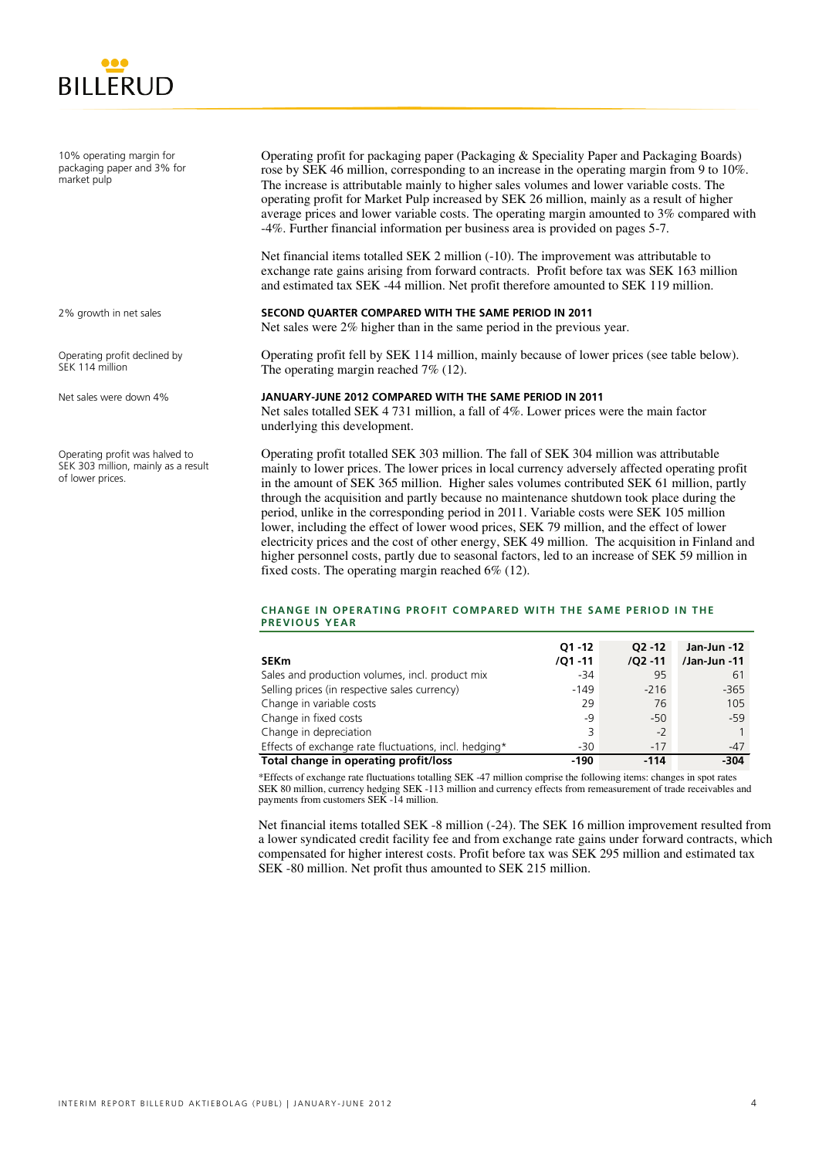

10% operating margin for packaging paper and 3% for market pulp

Operating profit for packaging paper (Packaging & Speciality Paper and Packaging Boards) rose by SEK 46 million, corresponding to an increase in the operating margin from 9 to 10%. The increase is attributable mainly to higher sales volumes and lower variable costs. The operating profit for Market Pulp increased by SEK 26 million, mainly as a result of higher average prices and lower variable costs. The operating margin amounted to 3% compared with -4%. Further financial information per business area is provided on pages 5-7.

Net financial items totalled SEK 2 million (-10). The improvement was attributable to exchange rate gains arising from forward contracts. Profit before tax was SEK 163 million and estimated tax SEK -44 million. Net profit therefore amounted to SEK 119 million.

### **SECOND QUARTER COMPARED WITH THE SAME PERIOD IN 2011**

Net sales were 2% higher than in the same period in the previous year.

Operating profit fell by SEK 114 million, mainly because of lower prices (see table below). The operating margin reached 7% (12).

### **JANUARY-JUNE 2012 COMPARED WITH THE SAME PERIOD IN 2011**

Net sales totalled SEK 4 731 million, a fall of 4%. Lower prices were the main factor underlying this development.

Operating profit totalled SEK 303 million. The fall of SEK 304 million was attributable mainly to lower prices. The lower prices in local currency adversely affected operating profit in the amount of SEK 365 million. Higher sales volumes contributed SEK 61 million, partly through the acquisition and partly because no maintenance shutdown took place during the period, unlike in the corresponding period in 2011. Variable costs were SEK 105 million lower, including the effect of lower wood prices, SEK 79 million, and the effect of lower electricity prices and the cost of other energy, SEK 49 million. The acquisition in Finland and higher personnel costs, partly due to seasonal factors, led to an increase of SEK 59 million in fixed costs. The operating margin reached 6% (12).

### **CHANGE IN OPERATING PROFIT COMPARED WITH THE SAME PERIOD IN THE PREVIOUS YEAR**

|                                                       | $Q1 - 12$  | $O2 - 12$  | Jan-Jun -12  |
|-------------------------------------------------------|------------|------------|--------------|
| <b>SEKm</b>                                           | $/Q1 - 11$ | $/Q2 - 11$ | /Jan-Jun -11 |
| Sales and production volumes, incl. product mix       | $-34$      | 95         | 61           |
| Selling prices (in respective sales currency)         | $-149$     | $-216$     | $-365$       |
| Change in variable costs                              | 29         | 76         | 105          |
| Change in fixed costs                                 | -9         | $-50$      | $-59$        |
| Change in depreciation                                | 3          | $-2$       |              |
| Effects of exchange rate fluctuations, incl. hedging* | $-30$      | $-17$      | $-47$        |
| Total change in operating profit/loss                 | -190       | $-114$     | $-304$       |

\*Effects of exchange rate fluctuations totalling SEK -47 million comprise the following items: changes in spot rates SEK 80 million, currency hedging SEK -113 million and currency effects from remeasurement of trade receivables and payments from customers SEK -14 million.

Net financial items totalled SEK -8 million (-24). The SEK 16 million improvement resulted from a lower syndicated credit facility fee and from exchange rate gains under forward contracts, which compensated for higher interest costs. Profit before tax was SEK 295 million and estimated tax SEK -80 million. Net profit thus amounted to SEK 215 million.

2% growth in net sales

Operating profit declined by SEK 114 million

Net sales were down 4%

Operating profit was halved to SEK 303 million, mainly as a result of lower prices.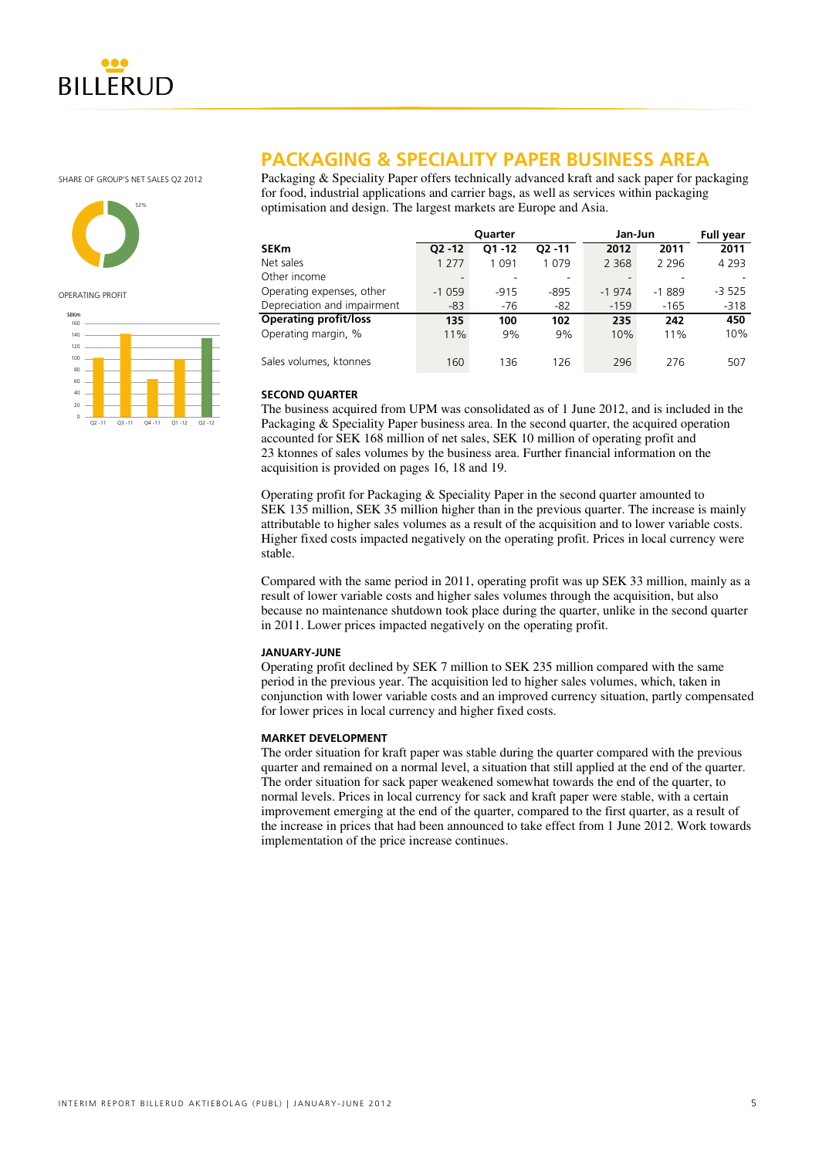

SHARE OF GROUP'S NET SALES O2 2012



OPERATING PROFIT



# **PACKAGING & SPECIALITY PAPER BUSINESS AREA**

Packaging & Speciality Paper offers technically advanced kraft and sack paper for packaging for food, industrial applications and carrier bags, as well as services within packaging optimisation and design. The largest markets are Europe and Asia.

|                              |           | Quarter   |           | Jan-Jun |         | <b>Full year</b> |
|------------------------------|-----------|-----------|-----------|---------|---------|------------------|
| SEKm                         | $O2 - 12$ | $O1 - 12$ | $O2 - 11$ | 2012    | 2011    | 2011             |
| Net sales                    | 1 2 7 7   | 1 0 9 1   | 1 0 7 9   | 2 3 6 8 | 2 2 9 6 | 4 2 9 3          |
| Other income                 | -         |           |           |         |         |                  |
| Operating expenses, other    | $-1059$   | $-915$    | $-895$    | $-1974$ | $-1889$ | $-3525$          |
| Depreciation and impairment  | $-83$     | $-76$     | $-82$     | $-159$  | $-165$  | $-318$           |
| <b>Operating profit/loss</b> | 135       | 100       | 102       | 235     | 242     | 450              |
| Operating margin, %          | 11%       | 9%        | 9%        | 10%     | 11%     | 10%              |
| Sales volumes, ktonnes       | 160       | 136       | 126       | 296     | 276     | 507              |

### **SECOND QUARTER**

The business acquired from UPM was consolidated as of 1 June 2012, and is included in the Packaging & Speciality Paper business area. In the second quarter, the acquired operation accounted for SEK 168 million of net sales, SEK 10 million of operating profit and 23 ktonnes of sales volumes by the business area. Further financial information on the acquisition is provided on pages 16, 18 and 19.

Operating profit for Packaging & Speciality Paper in the second quarter amounted to SEK 135 million, SEK 35 million higher than in the previous quarter. The increase is mainly attributable to higher sales volumes as a result of the acquisition and to lower variable costs. Higher fixed costs impacted negatively on the operating profit. Prices in local currency were stable.

Compared with the same period in 2011, operating profit was up SEK 33 million, mainly as a result of lower variable costs and higher sales volumes through the acquisition, but also because no maintenance shutdown took place during the quarter, unlike in the second quarter in 2011. Lower prices impacted negatively on the operating profit.

### **JANUARY-JUNE**

Operating profit declined by SEK 7 million to SEK 235 million compared with the same period in the previous year. The acquisition led to higher sales volumes, which, taken in conjunction with lower variable costs and an improved currency situation, partly compensated for lower prices in local currency and higher fixed costs.

### **MARKET DEVELOPMENT**

The order situation for kraft paper was stable during the quarter compared with the previous quarter and remained on a normal level, a situation that still applied at the end of the quarter. The order situation for sack paper weakened somewhat towards the end of the quarter, to normal levels. Prices in local currency for sack and kraft paper were stable, with a certain improvement emerging at the end of the quarter, compared to the first quarter, as a result of the increase in prices that had been announced to take effect from 1 June 2012. Work towards implementation of the price increase continues.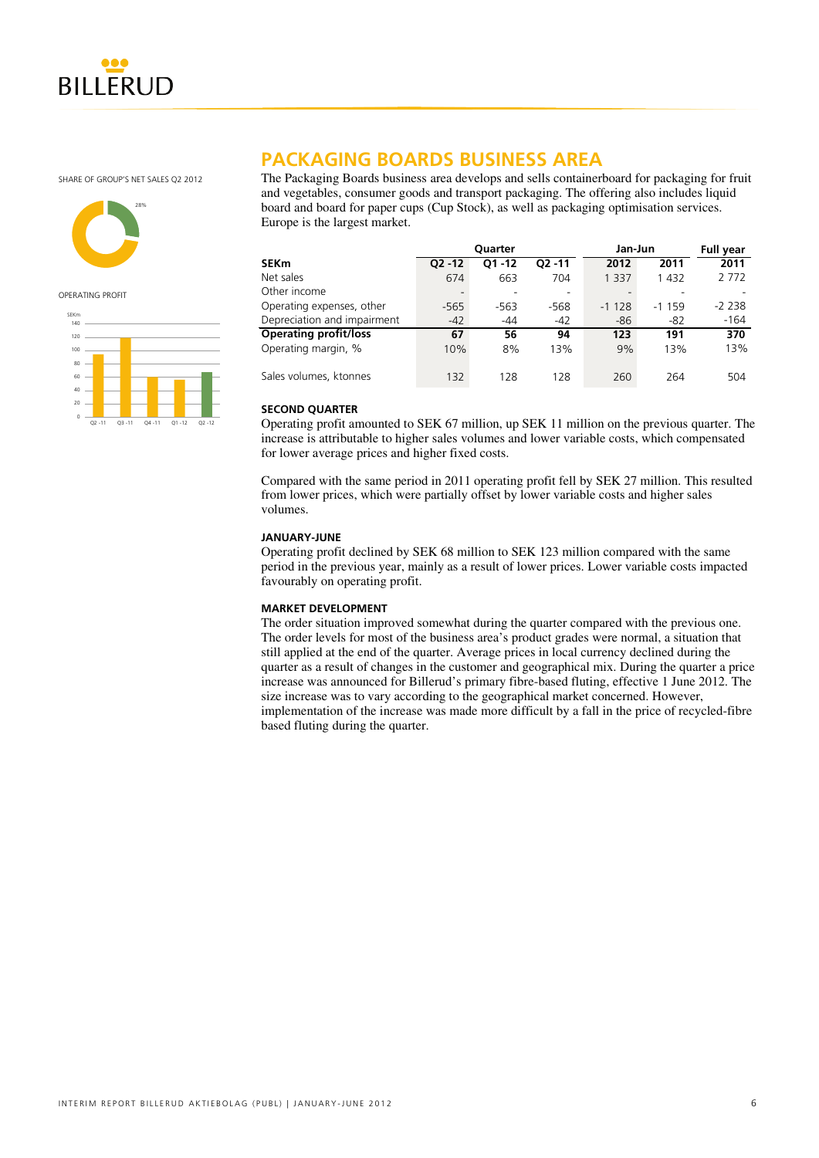

SHARE OF GROUP'S NET SALES Q2 2012



OPERATING PROFIT



# **PACKAGING BOARDS BUSINESS AREA**

The Packaging Boards business area develops and sells containerboard for packaging for fruit and vegetables, consumer goods and transport packaging. The offering also includes liquid board and board for paper cups (Cup Stock), as well as packaging optimisation services. Europe is the largest market.

|                              |                          | <b>Ouarter</b> |           | Jan-Jun |         | <b>Full year</b> |
|------------------------------|--------------------------|----------------|-----------|---------|---------|------------------|
| SEKm                         | $O2 - 12$                | $O1 - 12$      | $O2 - 11$ | 2012    | 2011    | 2011             |
| Net sales                    | 674                      | 663            | 704       | 1 3 3 7 | 1 4 3 2 | 2 7 7 2          |
| Other income                 | $\overline{\phantom{0}}$ |                |           |         |         |                  |
| Operating expenses, other    | $-565$                   | -563           | -568      | $-1128$ | $-1159$ | $-2238$          |
| Depreciation and impairment  | $-42$                    | $-44$          | $-42$     | $-86$   | -82     | $-164$           |
| <b>Operating profit/loss</b> | 67                       | 56             | 94        | 123     | 191     | 370              |
| Operating margin, %          | 10%                      | 8%             | 13%       | 9%      | 13%     | 13%              |
| Sales volumes, ktonnes       | 132                      | 128            | 128       | 260     | 264     | 504              |

### **SECOND QUARTER**

Operating profit amounted to SEK 67 million, up SEK 11 million on the previous quarter. The increase is attributable to higher sales volumes and lower variable costs, which compensated for lower average prices and higher fixed costs.

Compared with the same period in 2011 operating profit fell by SEK 27 million. This resulted from lower prices, which were partially offset by lower variable costs and higher sales volumes.

### **JANUARY-JUNE**

Operating profit declined by SEK 68 million to SEK 123 million compared with the same period in the previous year, mainly as a result of lower prices. Lower variable costs impacted favourably on operating profit.

### **MARKET DEVELOPMENT**

The order situation improved somewhat during the quarter compared with the previous one. The order levels for most of the business area's product grades were normal, a situation that still applied at the end of the quarter. Average prices in local currency declined during the quarter as a result of changes in the customer and geographical mix. During the quarter a price increase was announced for Billerud's primary fibre-based fluting, effective 1 June 2012. The size increase was to vary according to the geographical market concerned. However, implementation of the increase was made more difficult by a fall in the price of recycled-fibre based fluting during the quarter.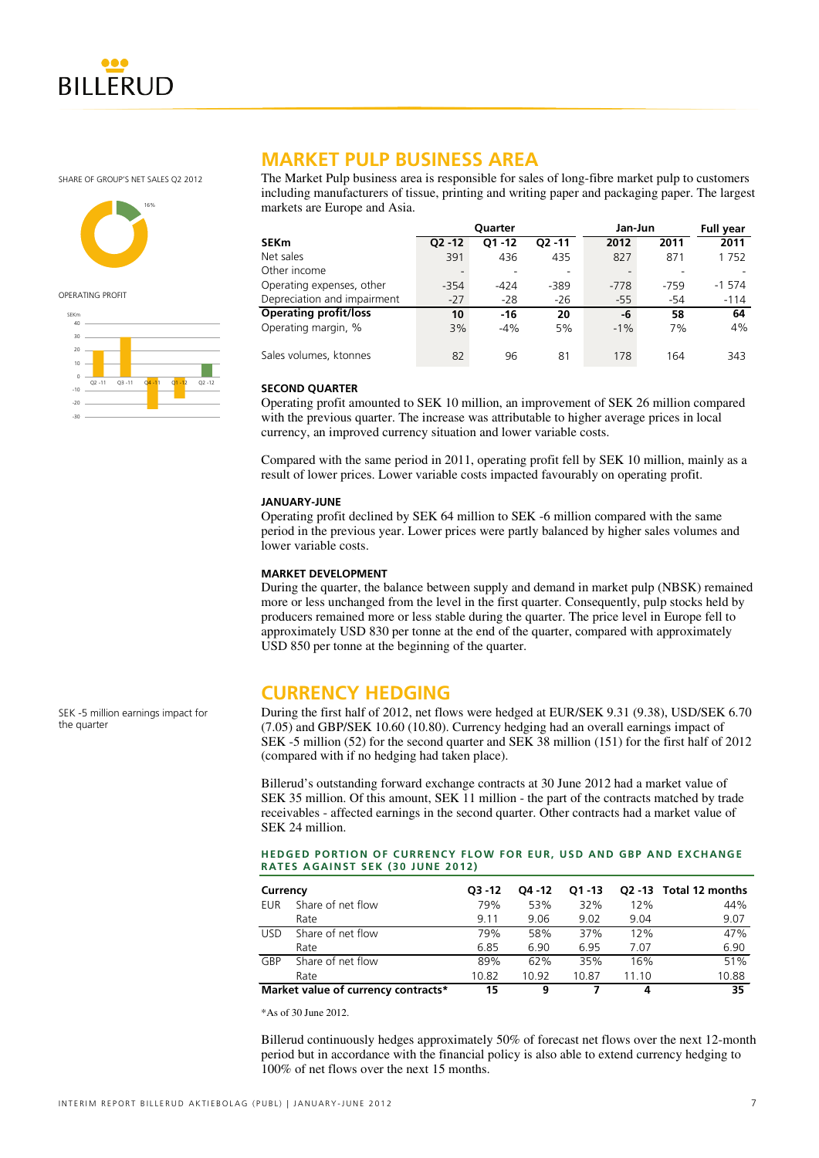

SHARE OF GROUP'S NET SALES Q2 2012



OPERATING PROFIT



# **MARKET PULP BUSINESS AREA**

The Market Pulp business area is responsible for sales of long-fibre market pulp to customers including manufacturers of tissue, printing and writing paper and packaging paper. The largest markets are Europe and Asia.

|                              |                          | <b>Ouarter</b> |           | Jan-Jun |        | <b>Full year</b> |
|------------------------------|--------------------------|----------------|-----------|---------|--------|------------------|
| SEKm                         | $O2 - 12$                | $O1 - 12$      | $O2 - 11$ | 2012    | 2011   | 2011             |
| Net sales                    | 391                      | 436            | 435       | 827     | 871    | 1752             |
| Other income                 | $\overline{\phantom{a}}$ |                | ۰         |         |        |                  |
| Operating expenses, other    | $-354$                   | $-424$         | $-389$    | $-778$  | $-759$ | $-1574$          |
| Depreciation and impairment  | $-27$                    | $-28$          | $-26$     | $-55$   | -54    | $-114$           |
| <b>Operating profit/loss</b> | 10                       | $-16$          | 20        | -6      | 58     | 64               |
| Operating margin, %          | 3%                       | $-4%$          | 5%        | $-1\%$  | 7%     | 4%               |
| Sales volumes, ktonnes       | 82                       | 96             | 81        | 178     | 164    | 343              |

### **SECOND QUARTER**

Operating profit amounted to SEK 10 million, an improvement of SEK 26 million compared with the previous quarter. The increase was attributable to higher average prices in local currency, an improved currency situation and lower variable costs.

Compared with the same period in 2011, operating profit fell by SEK 10 million, mainly as a result of lower prices. Lower variable costs impacted favourably on operating profit.

### **JANUARY-JUNE**

Operating profit declined by SEK 64 million to SEK -6 million compared with the same period in the previous year. Lower prices were partly balanced by higher sales volumes and lower variable costs.

### **MARKET DEVELOPMENT**

During the quarter, the balance between supply and demand in market pulp (NBSK) remained more or less unchanged from the level in the first quarter. Consequently, pulp stocks held by producers remained more or less stable during the quarter. The price level in Europe fell to approximately USD 830 per tonne at the end of the quarter, compared with approximately USD 850 per tonne at the beginning of the quarter.

# **CURRENCY HEDGING**

During the first half of 2012, net flows were hedged at EUR/SEK 9.31 (9.38), USD/SEK 6.70 (7.05) and GBP/SEK 10.60 (10.80). Currency hedging had an overall earnings impact of SEK -5 million (52) for the second quarter and SEK 38 million (151) for the first half of 2012 (compared with if no hedging had taken place).

Billerud's outstanding forward exchange contracts at 30 June 2012 had a market value of SEK 35 million. Of this amount, SEK 11 million - the part of the contracts matched by trade receivables - affected earnings in the second quarter. Other contracts had a market value of SEK 24 million.

### **HEDGED PORTION OF CURRENCY FLOW FOR EUR, USD AND GBP AND EXCHANGE RATES AGAINST SEK (30 JUNE 2012)**

| Currency   |                                     | $O3 - 12$ | O4 - 12 | $O1 - 13$ |       | Q2 -13 Total 12 months |
|------------|-------------------------------------|-----------|---------|-----------|-------|------------------------|
| EUR        | Share of net flow                   | 79%       | 53%     | 32%       | 12%   | 44%                    |
|            | Rate                                | 9.11      | 9.06    | 9.02      | 9.04  | 9.07                   |
| <b>USD</b> | Share of net flow                   | 79%       | 58%     | 37%       | 12%   | 47%                    |
|            | Rate                                | 6.85      | 6.90    | 6.95      | 7.07  | 6.90                   |
| GBP        | Share of net flow                   | 89%       | 62%     | 35%       | 16%   | 51%                    |
|            | Rate                                | 10.82     | 10.92   | 10.87     | 11.10 | 10.88                  |
|            | Market value of currency contracts* | 15        | 9       |           | 4     | 35                     |

\*As of 30 June 2012.

Billerud continuously hedges approximately 50% of forecast net flows over the next 12-month period but in accordance with the financial policy is also able to extend currency hedging to 100% of net flows over the next 15 months.

SEK -5 million earnings impact for

the quarter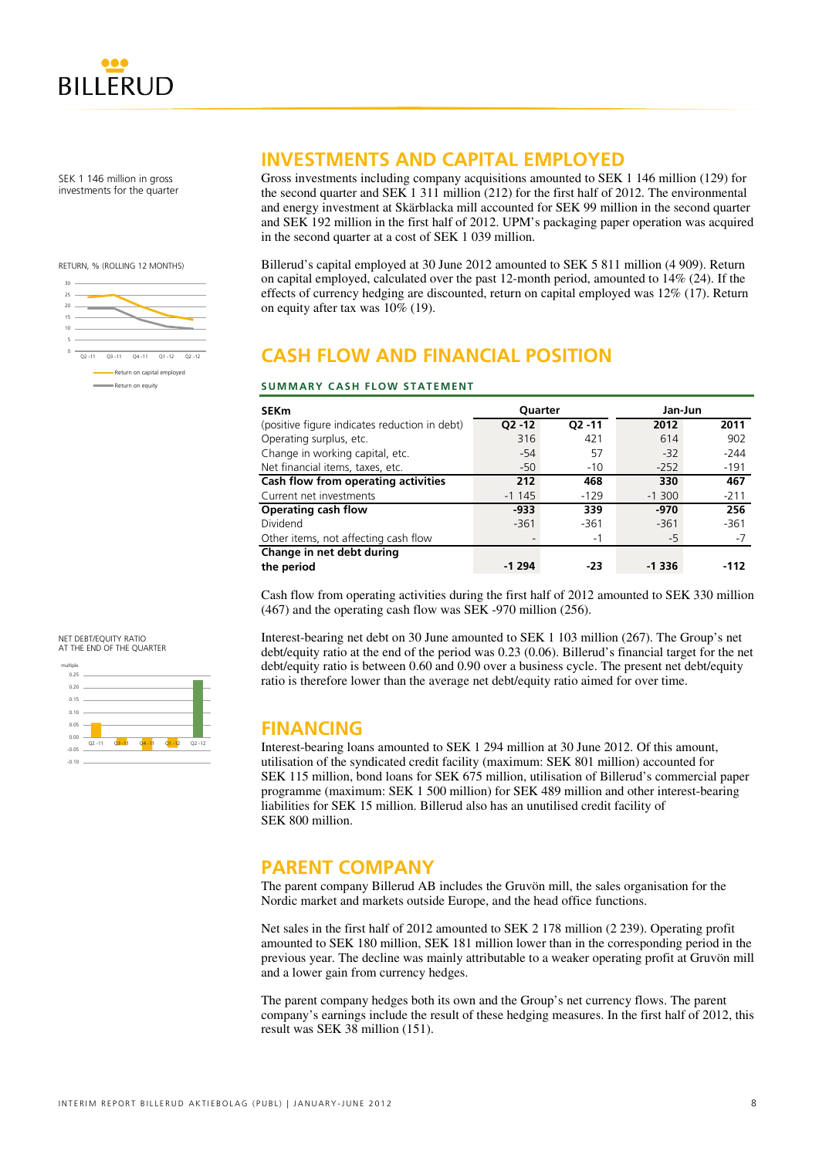

SEK 1 146 million in gross investments for the quarter

RETURN, % (ROLLING 12 MONTHS)



# **INVESTMENTS AND CAPITAL EMPLOYED**

Gross investments including company acquisitions amounted to SEK 1 146 million (129) for the second quarter and SEK 1 311 million (212) for the first half of 2012. The environmental and energy investment at Skärblacka mill accounted for SEK 99 million in the second quarter and SEK 192 million in the first half of 2012. UPM's packaging paper operation was acquired in the second quarter at a cost of SEK 1 039 million.

Billerud's capital employed at 30 June 2012 amounted to SEK 5 811 million (4 909). Return on capital employed, calculated over the past 12-month period, amounted to 14% (24). If the effects of currency hedging are discounted, return on capital employed was 12% (17). Return on equity after tax was 10% (19).

# **CASH FLOW AND FINANCIAL POSITION**

### **SUMMARY CASH FLOW STATEMENT**

| <b>SEKm</b>                                   | <b>Ouarter</b> |           | Jan-Jun  |        |
|-----------------------------------------------|----------------|-----------|----------|--------|
| (positive figure indicates reduction in debt) | $Q2 - 12$      | $Q2 - 11$ | 2012     | 2011   |
| Operating surplus, etc.                       | 316            | 421       | 614      | 902    |
| Change in working capital, etc.               | $-54$          | 57        | $-32$    | $-244$ |
| Net financial items, taxes, etc.              | $-50$          | $-10$     | $-252$   | $-191$ |
| Cash flow from operating activities           | 212            | 468       | 330      | 467    |
| Current net investments                       | $-1145$        | $-129$    | $-1,300$ | $-211$ |
| <b>Operating cash flow</b>                    | $-933$         | 339       | $-970$   | 256    |
| Dividend                                      | $-361$         | $-361$    | $-361$   | $-361$ |
| Other items, not affecting cash flow          |                | $-1$      | -5       | -7     |
| Change in net debt during                     |                |           |          |        |
| the period                                    | $-1294$        | -23       | $-1336$  | -112   |

Cash flow from operating activities during the first half of 2012 amounted to SEK 330 million (467) and the operating cash flow was SEK -970 million (256).

Interest-bearing net debt on 30 June amounted to SEK 1 103 million (267). The Group's net debt/equity ratio at the end of the period was 0.23 (0.06). Billerud's financial target for the net debt/equity ratio is between 0.60 and 0.90 over a business cycle. The present net debt/equity ratio is therefore lower than the average net debt/equity ratio aimed for over time.

# **FINANCING**

Interest-bearing loans amounted to SEK 1 294 million at 30 June 2012. Of this amount, utilisation of the syndicated credit facility (maximum: SEK 801 million) accounted for SEK 115 million, bond loans for SEK 675 million, utilisation of Billerud's commercial paper programme (maximum: SEK 1 500 million) for SEK 489 million and other interest-bearing liabilities for SEK 15 million. Billerud also has an unutilised credit facility of SEK 800 million.

# **PARENT COMPANY**

The parent company Billerud AB includes the Gruvön mill, the sales organisation for the Nordic market and markets outside Europe, and the head office functions.

Net sales in the first half of 2012 amounted to SEK 2 178 million (2 239). Operating profit amounted to SEK 180 million, SEK 181 million lower than in the corresponding period in the previous year. The decline was mainly attributable to a weaker operating profit at Gruvön mill and a lower gain from currency hedges.

The parent company hedges both its own and the Group's net currency flows. The parent company's earnings include the result of these hedging measures. In the first half of 2012, this result was SEK 38 million (151).

### NET DEBT/EQUITY RATIO AT THE END OF THE QUARTER

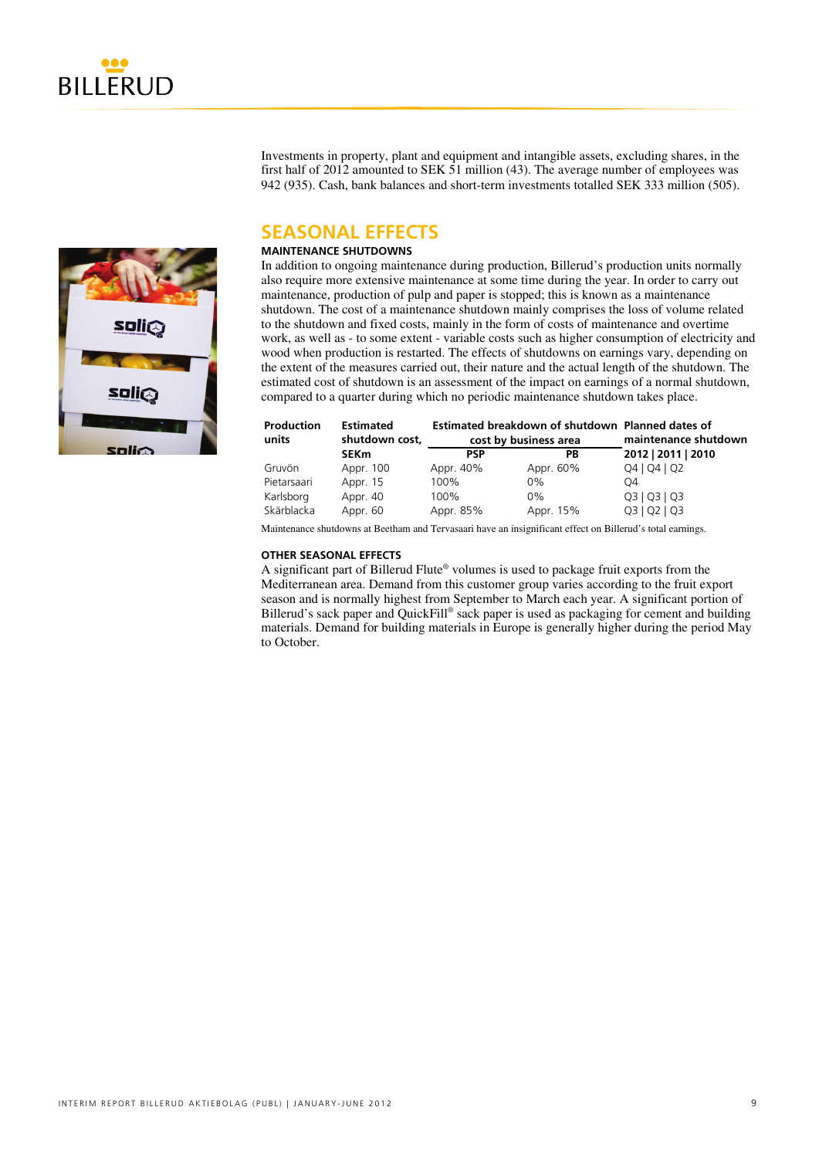

Investments in property, plant and equipment and intangible assets, excluding shares, in the first half of 2012 amounted to SEK 51 million (43). The average number of employees was 942 (935). Cash, bank balances and short-term investments totalled SEK 333 million (505).

# **SEASONAL EFFECTS**

### **MAINTENANCE SHUTDOWNS**

In addition to ongoing maintenance during production, Billerud's production units normally also require more extensive maintenance at some time during the year. In order to carry out maintenance, production of pulp and paper is stopped; this is known as a maintenance shutdown. The cost of a maintenance shutdown mainly comprises the loss of volume related to the shutdown and fixed costs, mainly in the form of costs of maintenance and overtime work, as well as - to some extent - variable costs such as higher consumption of electricity and wood when production is restarted. The effects of shutdowns on earnings vary, depending on the extent of the measures carried out, their nature and the actual length of the shutdown. The estimated cost of shutdown is an assessment of the impact on earnings of a normal shutdown, compared to a quarter during which no periodic maintenance shutdown takes place.

| <b>Production</b><br>units | <b>Estimated</b><br>shutdown cost, | cost by business area |           | Estimated breakdown of shutdown Planned dates of |  | maintenance shutdown |
|----------------------------|------------------------------------|-----------------------|-----------|--------------------------------------------------|--|----------------------|
|                            | <b>SEKm</b>                        | <b>PSP</b>            | РB        | 2012   2011   2010                               |  |                      |
| Gruvön                     | Appr. 100                          | Appr. 40%             | Appr. 60% | Q4   Q4   Q2                                     |  |                      |
| Pietarsaari                | Appr. 15                           | 100%                  | $0\%$     | Ω4                                               |  |                      |
| Karlsborg                  | Appr. 40                           | 100%                  | 0%        | Q3   Q3   Q3                                     |  |                      |
| Skärblacka                 | Appr. 60                           | Appr. 85%             | Appr. 15% | Q3   Q2   Q3                                     |  |                      |

Maintenance shutdowns at Beetham and Tervasaari have an insignificant effect on Billerud's total earnings.

### **OTHER SEASONAL EFFECTS**

A significant part of Billerud Flute® volumes is used to package fruit exports from the Mediterranean area. Demand from this customer group varies according to the fruit export season and is normally highest from September to March each year. A significant portion of Billerud's sack paper and QuickFill® sack paper is used as packaging for cement and building materials. Demand for building materials in Europe is generally higher during the period May to October.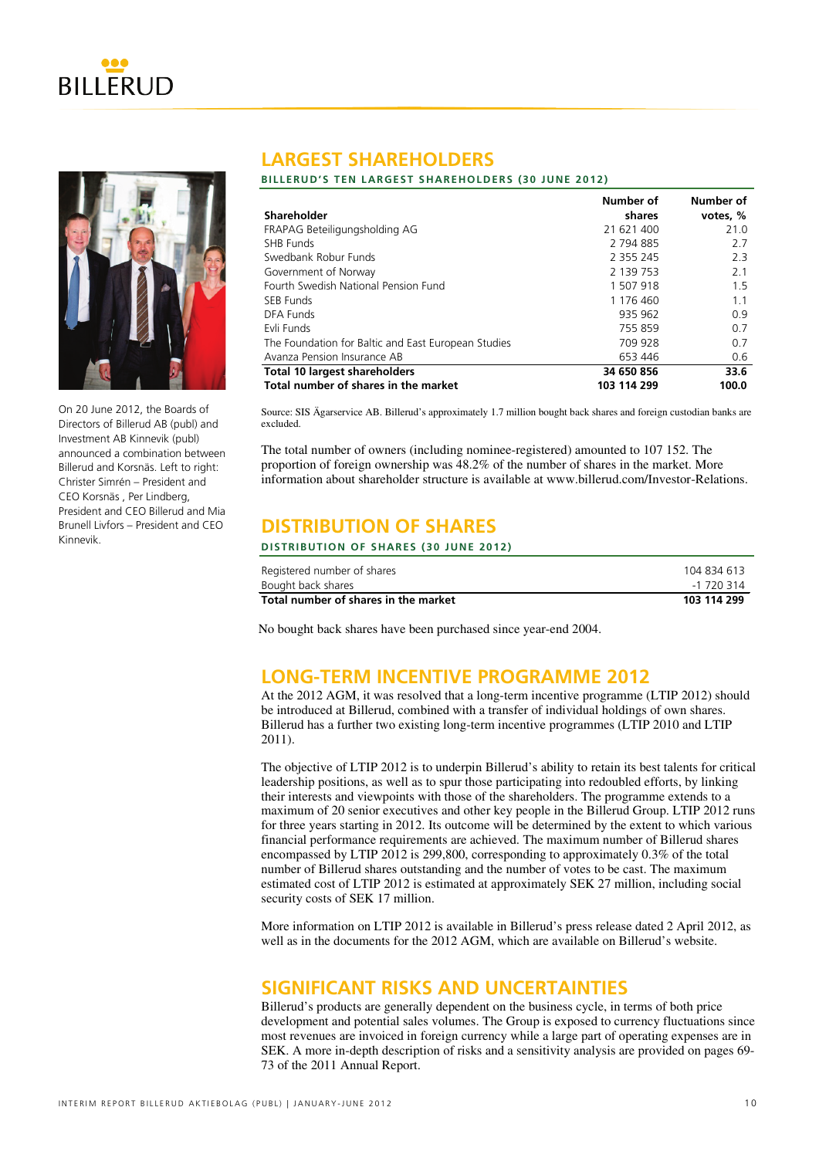



On 20 June 2012, the Boards of Directors of Billerud AB (publ) and Investment AB Kinnevik (publ) announced a combination between Billerud and Korsnäs. Left to right: Christer Simrén – President and CEO Korsnäs , Per Lindberg, President and CEO Billerud and Mia Brunell Livfors – President and CEO Kinnevik.

# **LARGEST SHAREHOLDERS**

### **BILLERUD'S TEN LARGEST SHAREHOLDERS (30 JUNE 2012)**

|                                                     | Number of   | Number of |
|-----------------------------------------------------|-------------|-----------|
| Shareholder                                         | shares      | votes, %  |
| FRAPAG Beteiligungsholding AG                       | 21 621 400  | 21.0      |
| <b>SHB Funds</b>                                    | 2 794 885   | 2.7       |
| Swedbank Robur Funds                                | 2 3 5 2 4 5 | 2.3       |
| Government of Norway                                | 2 139 753   | 2.1       |
| Fourth Swedish National Pension Fund                | 1 507 918   | 1.5       |
| SEB Funds                                           | 1 176 460   | 1.1       |
| DFA Funds                                           | 935 962     | 0.9       |
| Evli Funds                                          | 755 859     | 0.7       |
| The Foundation for Baltic and East European Studies | 709 928     | 0.7       |
| Avanza Pension Insurance AB                         | 653 446     | 0.6       |
| <b>Total 10 largest shareholders</b>                | 34 650 856  | 33.6      |
| Total number of shares in the market                | 103 114 299 | 100.0     |

Source: SIS Ägarservice AB. Billerud's approximately 1.7 million bought back shares and foreign custodian banks are excluded.

The total number of owners (including nominee-registered) amounted to 107 152. The proportion of foreign ownership was 48.2% of the number of shares in the market. More information about shareholder structure is available at www.billerud.com/Investor-Relations.

# **DISTRIBUTION OF SHARES**

### **DISTRIBUTION OF SHARES (30 JUNE 2012)**

| Registered number of shares          | 104 834 613 |
|--------------------------------------|-------------|
| Bought back shares                   | -1 720 314  |
| Total number of shares in the market | 103 114 299 |

No bought back shares have been purchased since year-end 2004.

# **LONG-TERM INCENTIVE PROGRAMME 2012**

At the 2012 AGM, it was resolved that a long-term incentive programme (LTIP 2012) should be introduced at Billerud, combined with a transfer of individual holdings of own shares. Billerud has a further two existing long-term incentive programmes (LTIP 2010 and LTIP 2011).

The objective of LTIP 2012 is to underpin Billerud's ability to retain its best talents for critical leadership positions, as well as to spur those participating into redoubled efforts, by linking their interests and viewpoints with those of the shareholders. The programme extends to a maximum of 20 senior executives and other key people in the Billerud Group. LTIP 2012 runs for three years starting in 2012. Its outcome will be determined by the extent to which various financial performance requirements are achieved. The maximum number of Billerud shares encompassed by LTIP 2012 is 299,800, corresponding to approximately 0.3% of the total number of Billerud shares outstanding and the number of votes to be cast. The maximum estimated cost of LTIP 2012 is estimated at approximately SEK 27 million, including social security costs of SEK 17 million.

More information on LTIP 2012 is available in Billerud's press release dated 2 April 2012, as well as in the documents for the 2012 AGM, which are available on Billerud's website.

# **SIGNIFICANT RISKS AND UNCERTAINTIES**

Billerud's products are generally dependent on the business cycle, in terms of both price development and potential sales volumes. The Group is exposed to currency fluctuations since most revenues are invoiced in foreign currency while a large part of operating expenses are in SEK. A more in-depth description of risks and a sensitivity analysis are provided on pages 69- 73 of the 2011 Annual Report.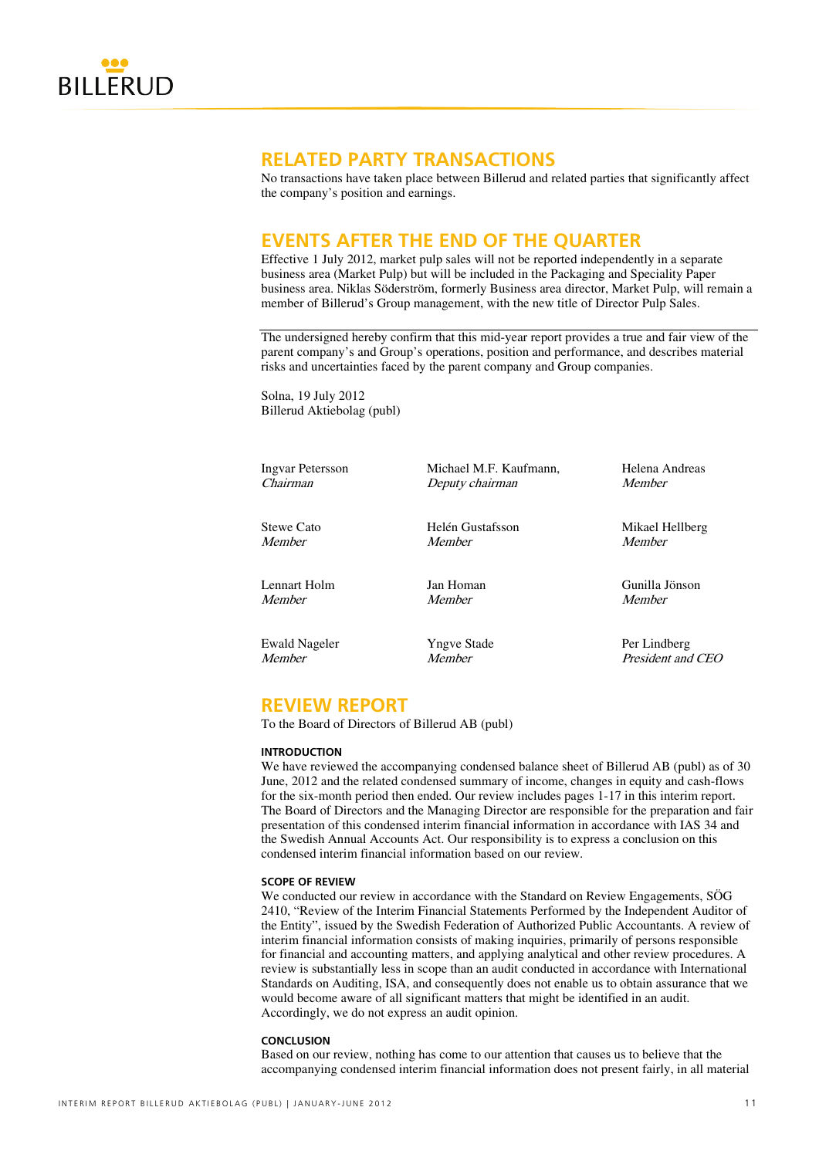

# **RELATED PARTY TRANSACTIONS**

No transactions have taken place between Billerud and related parties that significantly affect the company's position and earnings.

# **EVENTS AFTER THE END OF THE QUARTER**

Effective 1 July 2012, market pulp sales will not be reported independently in a separate business area (Market Pulp) but will be included in the Packaging and Speciality Paper business area. Niklas Söderström, formerly Business area director, Market Pulp, will remain a member of Billerud's Group management, with the new title of Director Pulp Sales.

The undersigned hereby confirm that this mid-year report provides a true and fair view of the parent company's and Group's operations, position and performance, and describes material risks and uncertainties faced by the parent company and Group companies.

Solna, 19 July 2012 Billerud Aktiebolag (publ)

Lennart Holm Jan Homan Gunilla Jönson Member Member Member

Ewald Nageler Per Lindberg<br>
Member Member President and<br>
Member President and

Ingvar Petersson Michael M.F. Kaufmann, Helena Andreas Chairman Deputy chairman Member

Stewe Cato Helén Gustafsson Mikael Hellberg Member Member Member

President and CEO

# **REVIEW REPORT**

To the Board of Directors of Billerud AB (publ)

### **INTRODUCTION**

We have reviewed the accompanying condensed balance sheet of Billerud AB (publ) as of 30 June, 2012 and the related condensed summary of income, changes in equity and cash-flows for the six-month period then ended. Our review includes pages 1-17 in this interim report. The Board of Directors and the Managing Director are responsible for the preparation and fair presentation of this condensed interim financial information in accordance with IAS 34 and the Swedish Annual Accounts Act. Our responsibility is to express a conclusion on this condensed interim financial information based on our review.

### **SCOPE OF REVIEW**

We conducted our review in accordance with the Standard on Review Engagements, SÖG 2410, "Review of the Interim Financial Statements Performed by the Independent Auditor of the Entity", issued by the Swedish Federation of Authorized Public Accountants. A review of interim financial information consists of making inquiries, primarily of persons responsible for financial and accounting matters, and applying analytical and other review procedures. A review is substantially less in scope than an audit conducted in accordance with International Standards on Auditing, ISA, and consequently does not enable us to obtain assurance that we would become aware of all significant matters that might be identified in an audit. Accordingly, we do not express an audit opinion.

### **CONCLUSION**

Based on our review, nothing has come to our attention that causes us to believe that the accompanying condensed interim financial information does not present fairly, in all material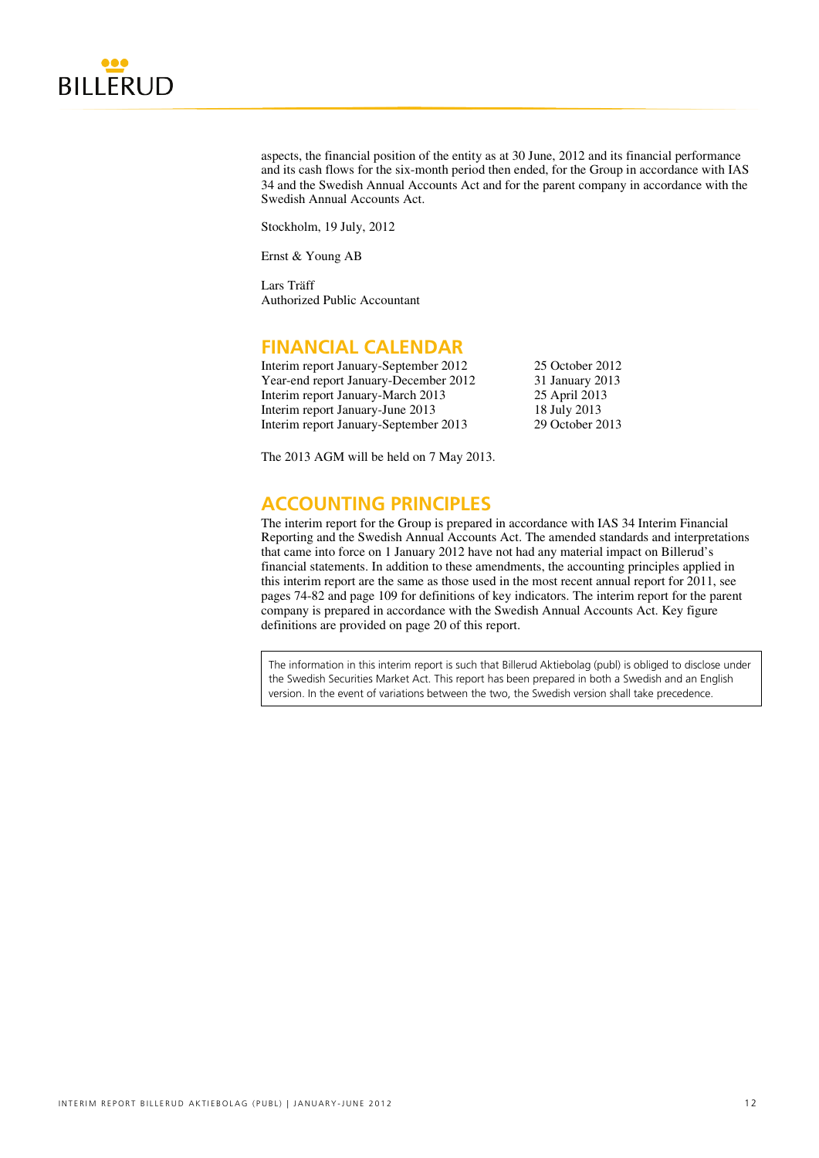

aspects, the financial position of the entity as at 30 June, 2012 and its financial performance and its cash flows for the six-month period then ended, for the Group in accordance with IAS 34 and the Swedish Annual Accounts Act and for the parent company in accordance with the Swedish Annual Accounts Act.

Stockholm, 19 July, 2012

Ernst & Young AB

Lars Träff Authorized Public Accountant

# **FINANCIAL CALENDAR**

| Interim report January-September 2012 | 25 October 2012 |
|---------------------------------------|-----------------|
| Year-end report January-December 2012 | 31 January 2013 |
| Interim report January-March 2013     | 25 April 2013   |
| Interim report January-June 2013      | 18 July 2013    |
| Interim report January-September 2013 | 29 October 2013 |

The 2013 AGM will be held on 7 May 2013.

# **ACCOUNTING PRINCIPLES**

The interim report for the Group is prepared in accordance with IAS 34 Interim Financial Reporting and the Swedish Annual Accounts Act. The amended standards and interpretations that came into force on 1 January 2012 have not had any material impact on Billerud's financial statements. In addition to these amendments, the accounting principles applied in this interim report are the same as those used in the most recent annual report for  $2011$ , see pages 74-82 and page 109 for definitions of key indicators. The interim report for the parent company is prepared in accordance with the Swedish Annual Accounts Act. Key figure definitions are provided on page 20 of this report.

The information in this interim report is such that Billerud Aktiebolag (publ) is obliged to disclose under the Swedish Securities Market Act. This report has been prepared in both a Swedish and an English version. In the event of variations between the two, the Swedish version shall take precedence.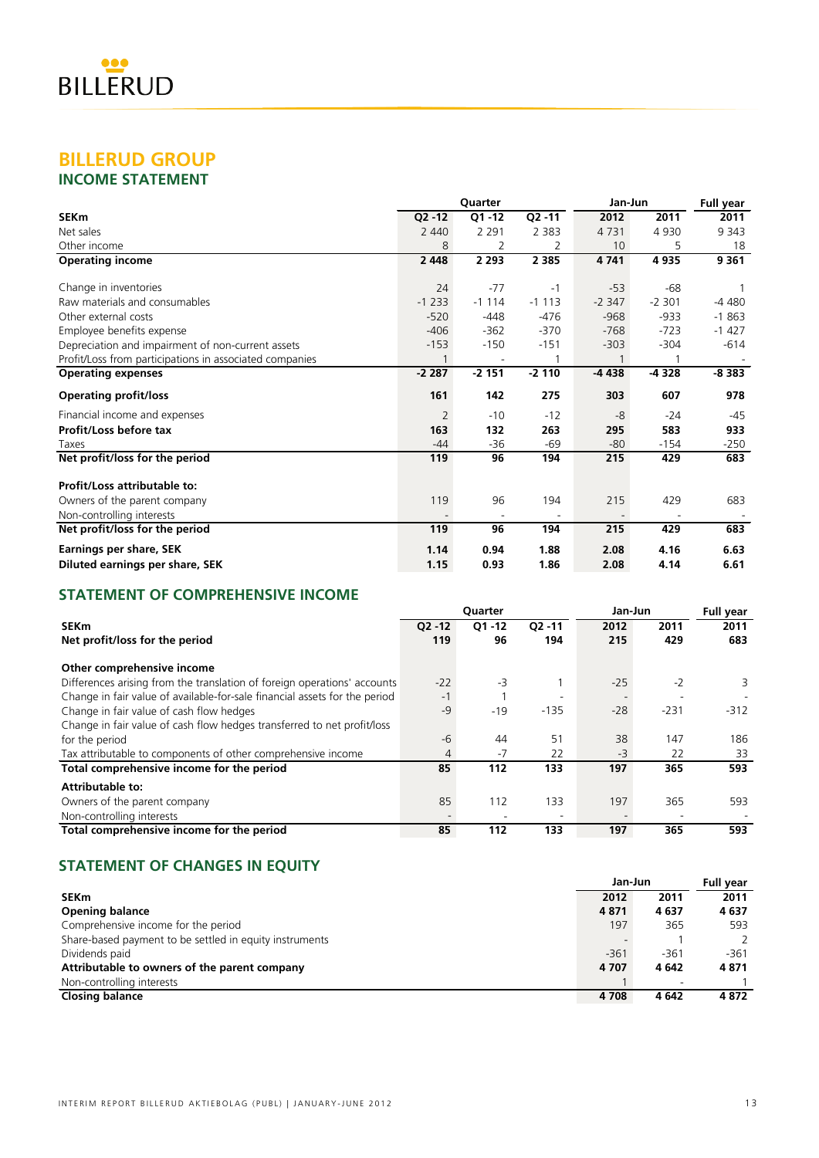# **BILLERUD GROUP**

# **INCOME STATEMENT**

|                                                         |           | Quarter   |           | Jan-Jun | <b>Full year</b> |         |
|---------------------------------------------------------|-----------|-----------|-----------|---------|------------------|---------|
| <b>SEKm</b>                                             | $Q2 - 12$ | $O1 - 12$ | $Q2 - 11$ | 2012    | 2011             | 2011    |
| Net sales                                               | 2 4 4 0   | 2 2 9 1   | 2 3 8 3   | 4731    | 4 9 3 0          | 9 3 4 3 |
| Other income                                            | 8         | 2         | 2         | 10      | 5                | 18      |
| <b>Operating income</b>                                 | 2 4 4 8   | 2 2 9 3   | 2 3 8 5   | 4741    | 4935             | 9 3 6 1 |
| Change in inventories                                   | 24        | $-77$     | $-1$      | $-53$   | $-68$            |         |
| Raw materials and consumables                           | $-1233$   | $-1114$   | $-1113$   | $-2347$ | $-2,301$         | -4 480  |
| Other external costs                                    | $-520$    | $-448$    | $-476$    | $-968$  | $-933$           | $-1863$ |
| Employee benefits expense                               | $-406$    | $-362$    | $-370$    | $-768$  | $-723$           | $-1427$ |
| Depreciation and impairment of non-current assets       | $-153$    | $-150$    | $-151$    | $-303$  | $-304$           | $-614$  |
| Profit/Loss from participations in associated companies |           | ۰         |           |         |                  |         |
| <b>Operating expenses</b>                               | $-2287$   | $-2151$   | $-2110$   | -4 438  | -4 328           | $-8383$ |
| <b>Operating profit/loss</b>                            | 161       | 142       | 275       | 303     | 607              | 978     |
| Financial income and expenses                           | 2         | $-10$     | $-12$     | -8      | $-24$            | $-45$   |
| Profit/Loss before tax                                  | 163       | 132       | 263       | 295     | 583              | 933     |
| Taxes                                                   | $-44$     | $-36$     | $-69$     | $-80$   | $-154$           | $-250$  |
| Net profit/loss for the period                          | 119       | 96        | 194       | 215     | 429              | 683     |
| Profit/Loss attributable to:                            |           |           |           |         |                  |         |
| Owners of the parent company                            | 119       | 96        | 194       | 215     | 429              | 683     |
| Non-controlling interests                               |           |           |           |         |                  |         |
| Net profit/loss for the period                          | 119       | 96        | 194       | 215     | 429              | 683     |
| Earnings per share, SEK                                 | 1.14      | 0.94      | 1.88      | 2.08    | 4.16             | 6.63    |
| Diluted earnings per share, SEK                         | 1.15      | 0.93      | 1.86      | 2.08    | 4.14             | 6.61    |

# **STATEMENT OF COMPREHENSIVE INCOME**

|                                                                            |           | Quarter   |                          | Jan-Jun | <b>Full year</b> |        |
|----------------------------------------------------------------------------|-----------|-----------|--------------------------|---------|------------------|--------|
| <b>SEKm</b>                                                                | $O2 - 12$ | $Q1 - 12$ | $Q2 - 11$                | 2012    | 2011             | 2011   |
| Net profit/loss for the period                                             | 119       | 96        | 194                      | 215     | 429              | 683    |
| Other comprehensive income                                                 |           |           |                          |         |                  |        |
| Differences arising from the translation of foreign operations' accounts   | $-22$     | $-3$      |                          | $-25$   | $-2$             | 3      |
| Change in fair value of available-for-sale financial assets for the period | $-1$      |           |                          |         |                  |        |
| Change in fair value of cash flow hedges                                   |           | $-19$     | $-135$                   | $-28$   | $-231$           | $-312$ |
| Change in fair value of cash flow hedges transferred to net profit/loss    |           |           |                          |         |                  |        |
| for the period                                                             | $-6$      | 44        | 51                       | 38      | 147              | 186    |
| Tax attributable to components of other comprehensive income               | 4         | $-7$      | 22                       | $-3$    | 22               | 33     |
| Total comprehensive income for the period                                  | 85        | 112       | 133                      | 197     | 365              | 593    |
| <b>Attributable to:</b>                                                    |           |           |                          |         |                  |        |
| Owners of the parent company                                               | 85        | 112       | 133                      | 197     | 365              | 593    |
| Non-controlling interests                                                  |           |           | $\overline{\phantom{a}}$ |         |                  |        |
| Total comprehensive income for the period                                  | 85        | 112       | 133                      | 197     | 365              | 593    |

# **STATEMENT OF CHANGES IN EQUITY**

|                                                         | Jan-Jun |         |        |  |  |  |
|---------------------------------------------------------|---------|---------|--------|--|--|--|
| <b>SEKm</b>                                             | 2012    | 2011    | 2011   |  |  |  |
| <b>Opening balance</b>                                  | 4871    | 4637    | 4637   |  |  |  |
| Comprehensive income for the period                     | 197     | 365     | 593    |  |  |  |
| Share-based payment to be settled in equity instruments |         |         |        |  |  |  |
| Dividends paid                                          | $-361$  | $-361$  | $-361$ |  |  |  |
| Attributable to owners of the parent company            | 4 7 0 7 | 4 6 4 2 | 4871   |  |  |  |
| Non-controlling interests                               |         |         |        |  |  |  |
| <b>Closing balance</b>                                  | 4708    | 4 642   | 4872   |  |  |  |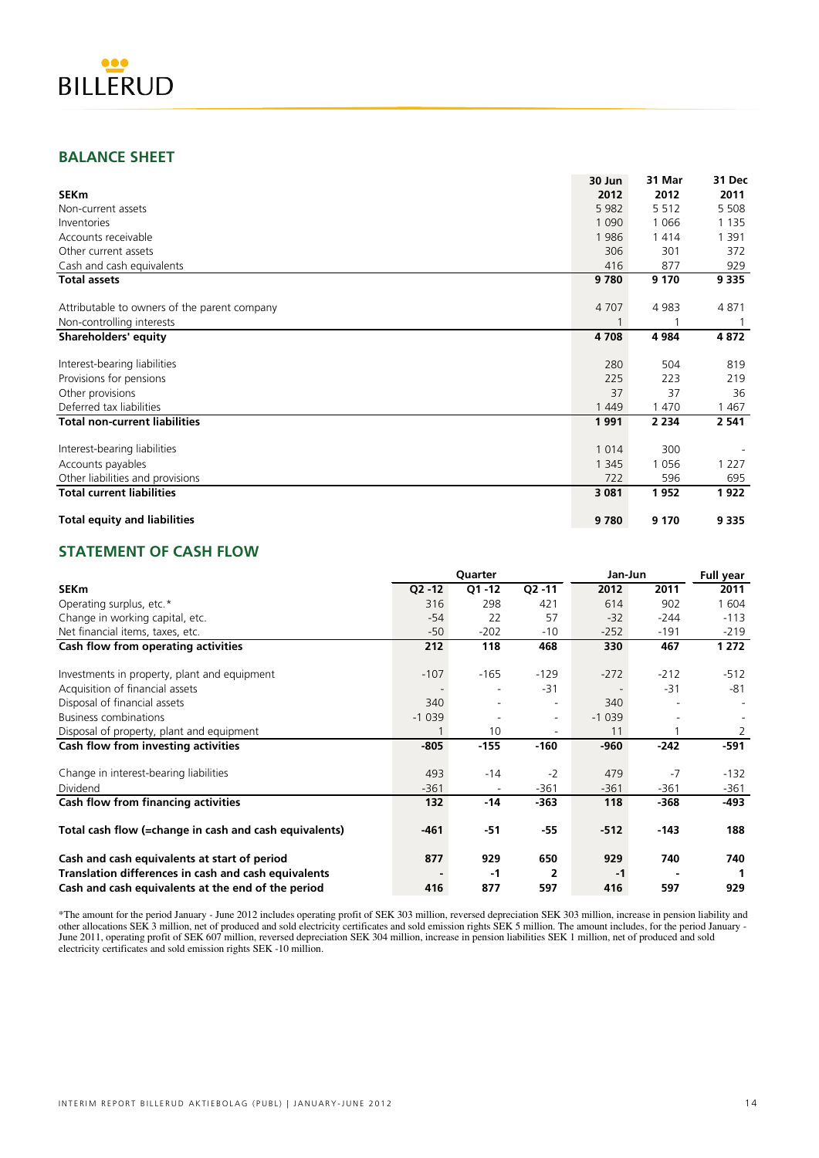

# **BALANCE SHEET**

|                                              | 30 Jun  | 31 Mar  | 31 Dec  |
|----------------------------------------------|---------|---------|---------|
| <b>SEKm</b>                                  | 2012    | 2012    | 2011    |
| Non-current assets                           | 5 9 8 2 | 5 5 1 2 | 5 5 0 8 |
| Inventories                                  | 1 0 9 0 | 1 0 6 6 | 1 1 3 5 |
| Accounts receivable                          | 1986    | 1414    | 1 3 9 1 |
| Other current assets                         | 306     | 301     | 372     |
| Cash and cash equivalents                    | 416     | 877     | 929     |
| <b>Total assets</b>                          | 9780    | 9 1 7 0 | 9 3 3 5 |
| Attributable to owners of the parent company | 4707    | 4 9 8 3 | 4871    |
| Non-controlling interests                    |         |         |         |
| <b>Shareholders' equity</b>                  | 4 7 0 8 | 4 9 8 4 | 4872    |
| Interest-bearing liabilities                 | 280     | 504     | 819     |
| Provisions for pensions                      | 225     | 223     | 219     |
| Other provisions                             | 37      | 37      | 36      |
| Deferred tax liabilities                     | 1 4 4 9 | 1 470   | 1467    |
| <b>Total non-current liabilities</b>         | 1991    | 2 2 3 4 | 2 5 4 1 |
| Interest-bearing liabilities                 | 1 0 1 4 | 300     |         |
| Accounts payables                            | 1 3 4 5 | 1056    | 1 2 2 7 |
| Other liabilities and provisions             | 722     | 596     | 695     |
| <b>Total current liabilities</b>             | 3 0 8 1 | 1952    | 1922    |
| <b>Total equity and liabilities</b>          | 9780    | 9 1 7 0 | 9 3 3 5 |

# **STATEMENT OF CASH FLOW**

|                                                        |           | Quarter   |           | Jan-Jun | <b>Full year</b> |        |
|--------------------------------------------------------|-----------|-----------|-----------|---------|------------------|--------|
| <b>SEKm</b>                                            | $Q2 - 12$ | $Q1 - 12$ | $Q2 - 11$ | 2012    | 2011             | 2011   |
| Operating surplus, etc.*                               | 316       | 298       | 421       | 614     | 902              | 1 604  |
| Change in working capital, etc.                        | $-54$     | 22        | 57        | $-32$   | $-244$           | $-113$ |
| Net financial items, taxes, etc.                       | $-50$     | $-202$    | $-10$     | $-252$  | $-191$           | $-219$ |
| Cash flow from operating activities                    | 212       | 118       | 468       | 330     | 467              | 1 272  |
| Investments in property, plant and equipment           | $-107$    | $-165$    | $-129$    | $-272$  | $-212$           | $-512$ |
| Acquisition of financial assets                        |           |           | $-31$     |         | $-31$            | -81    |
| Disposal of financial assets                           | 340       |           |           | 340     |                  |        |
| <b>Business combinations</b>                           | $-1039$   |           | Ξ.        | $-1039$ |                  |        |
| Disposal of property, plant and equipment              |           | 10        |           | 11      |                  | 2      |
| Cash flow from investing activities                    | $-805$    | $-155$    | $-160$    | $-960$  | $-242$           | -591   |
| Change in interest-bearing liabilities                 | 493       | $-14$     | $-2$      | 479     | $-7$             | $-132$ |
| Dividend                                               | $-361$    |           | $-361$    | $-361$  | $-361$           | -361   |
| Cash flow from financing activities                    | 132       | $-14$     | $-363$    | 118     | $-368$           | -493   |
| Total cash flow (=change in cash and cash equivalents) | $-461$    | $-51$     | -55       | $-512$  | $-143$           | 188    |
| Cash and cash equivalents at start of period           | 877       | 929       | 650       | 929     | 740              | 740    |
| Translation differences in cash and cash equivalents   |           | $-1$      | 2         | $-1$    |                  |        |
| Cash and cash equivalents at the end of the period     | 416       | 877       | 597       | 416     | 597              | 929    |

\*The amount for the period January - June 2012 includes operating profit of SEK 303 million, reversed depreciation SEK 303 million, increase in pension liability and other allocations SEK 3 million, net of produced and sold electricity certificates and sold emission rights SEK 5 million. The amount includes, for the period January - June 2011, operating profit of SEK 607 million, reversed depreciation SEK 304 million, increase in pension liabilities SEK 1 million, net of produced and sold electricity certificates and sold emission rights SEK -10 million.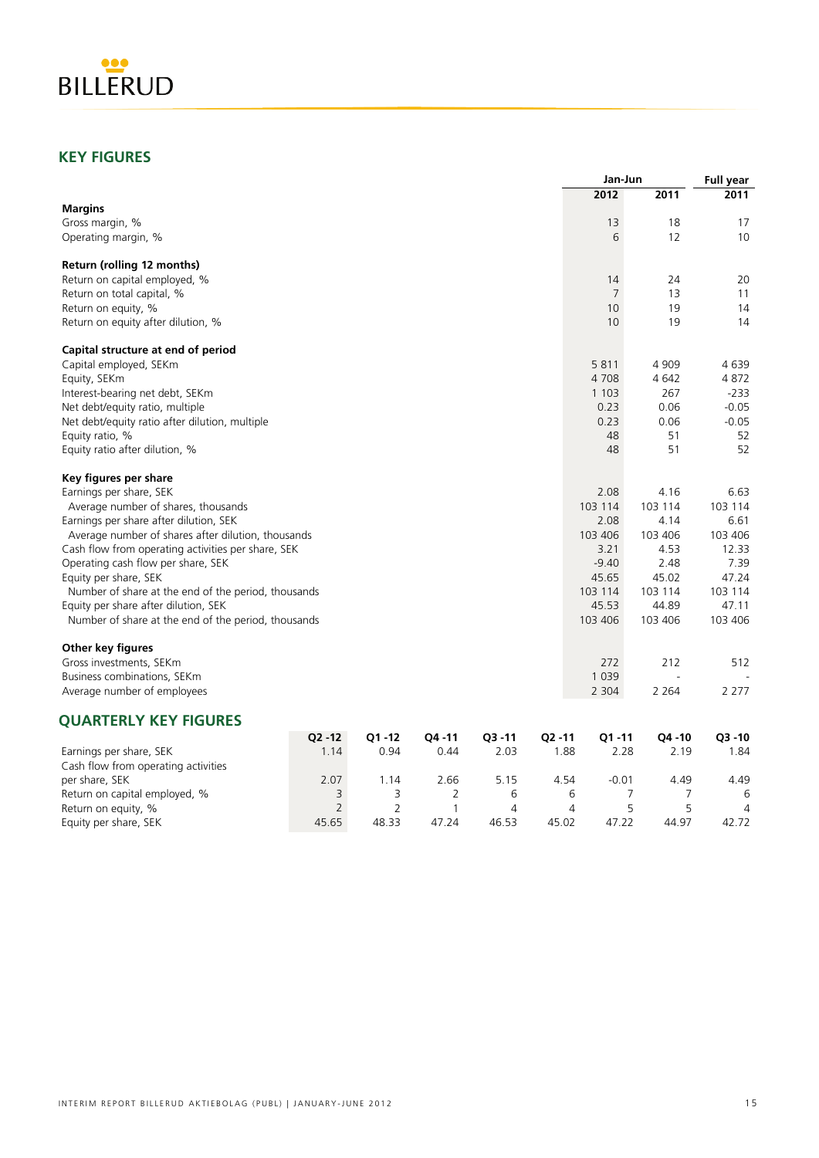

# **KEY FIGURES**

|                                                     |                |                |        |           |                     | Jan-Jun | <b>Full year</b> |                |
|-----------------------------------------------------|----------------|----------------|--------|-----------|---------------------|---------|------------------|----------------|
|                                                     |                |                |        |           |                     | 2012    | 2011             | 2011           |
| <b>Margins</b>                                      |                |                |        |           |                     |         |                  |                |
| Gross margin, %                                     |                |                |        |           |                     | 13      | 18               | 17             |
| Operating margin, %                                 |                |                |        |           |                     | 6       | 12               | 10             |
| Return (rolling 12 months)                          |                |                |        |           |                     |         |                  |                |
| Return on capital employed, %                       |                |                |        |           |                     | 14      | 24               | 20             |
| Return on total capital, %                          |                |                |        |           |                     | 7       | 13               | 11             |
| Return on equity, %                                 |                |                |        |           |                     | 10      | 19               | 14             |
| Return on equity after dilution, %                  |                |                |        |           |                     | 10      | 19               | 14             |
| Capital structure at end of period                  |                |                |        |           |                     |         |                  |                |
| Capital employed, SEKm                              |                |                |        |           |                     | 5811    | 4 9 0 9          | 4639           |
| Equity, SEKm                                        |                |                |        |           |                     | 4708    | 4 6 4 2          | 4872           |
| Interest-bearing net debt, SEKm                     |                |                |        |           |                     | 1 1 0 3 | 267              | $-233$         |
| Net debt/equity ratio, multiple                     |                |                |        |           |                     | 0.23    | 0.06             | $-0.05$        |
| Net debt/equity ratio after dilution, multiple      |                |                |        |           |                     | 0.23    | 0.06             | $-0.05$        |
| Equity ratio, %                                     |                |                |        |           |                     | 48      | 51               | 52             |
| Equity ratio after dilution, %                      |                |                |        |           |                     | 48      | 51               | 52             |
| Key figures per share                               |                |                |        |           |                     |         |                  |                |
| Earnings per share, SEK                             |                |                |        |           |                     | 2.08    | 4.16             | 6.63           |
| Average number of shares, thousands                 |                |                |        |           |                     | 103 114 | 103 114          | 103 114        |
| Earnings per share after dilution, SEK              |                |                |        |           |                     | 2.08    | 4.14             | 6.61           |
| Average number of shares after dilution, thousands  |                |                |        |           |                     | 103 406 | 103 406          | 103 406        |
| Cash flow from operating activities per share, SEK  |                |                |        |           |                     | 3.21    | 4.53             | 12.33          |
| Operating cash flow per share, SEK                  |                |                |        |           |                     | $-9.40$ | 2.48             | 7.39           |
| Equity per share, SEK                               |                |                |        |           |                     | 45.65   | 45.02            | 47.24          |
| Number of share at the end of the period, thousands |                |                |        |           |                     | 103 114 | 103 114          | 103 114        |
| Equity per share after dilution, SEK                |                |                |        |           |                     | 45.53   | 44.89            | 47.11          |
| Number of share at the end of the period, thousands |                |                |        |           |                     | 103 406 | 103 406          | 103 406        |
| <b>Other key figures</b>                            |                |                |        |           |                     |         |                  |                |
| Gross investments, SEKm                             |                |                |        |           |                     | 272     | 212              | 512            |
| Business combinations, SEKm                         |                |                |        |           |                     | 1 0 3 9 |                  |                |
| Average number of employees                         |                |                |        |           |                     | 2 3 0 4 | 2 2 6 4          | 2 2 7 7        |
| <b>QUARTERLY KEY FIGURES</b>                        |                |                |        |           |                     |         |                  |                |
|                                                     | $Q2 - 12$      | Q1-12          | Q4 -11 | $Q3 - 11$ | Q <sub>2</sub> - 11 | Q1-11   | Q4 - 10          | $Q3 - 10$      |
| Earnings per share, SEK                             | 1.14           | 0.94           | 0.44   | 2.03      | 1.88                | 2.28    | 2.19             | 1.84           |
| Cash flow from operating activities                 |                |                |        |           |                     |         |                  |                |
| per share, SEK                                      | 2.07           | 1.14           | 2.66   | 5.15      | 4.54                | $-0.01$ | 4.49             | 4.49           |
| Return on capital employed, %                       | 3              | 3              | 2      | 6         | 6                   | 7       | 7                | 6              |
| Return on equity, %                                 | $\overline{2}$ | $\overline{2}$ | 1      | 4         | 4                   | 5       | 5                | $\overline{4}$ |
| Equity per share, SEK                               | 45.65          | 48.33          | 47.24  | 46.53     | 45.02               | 47.22   | 44.97            | 42.72          |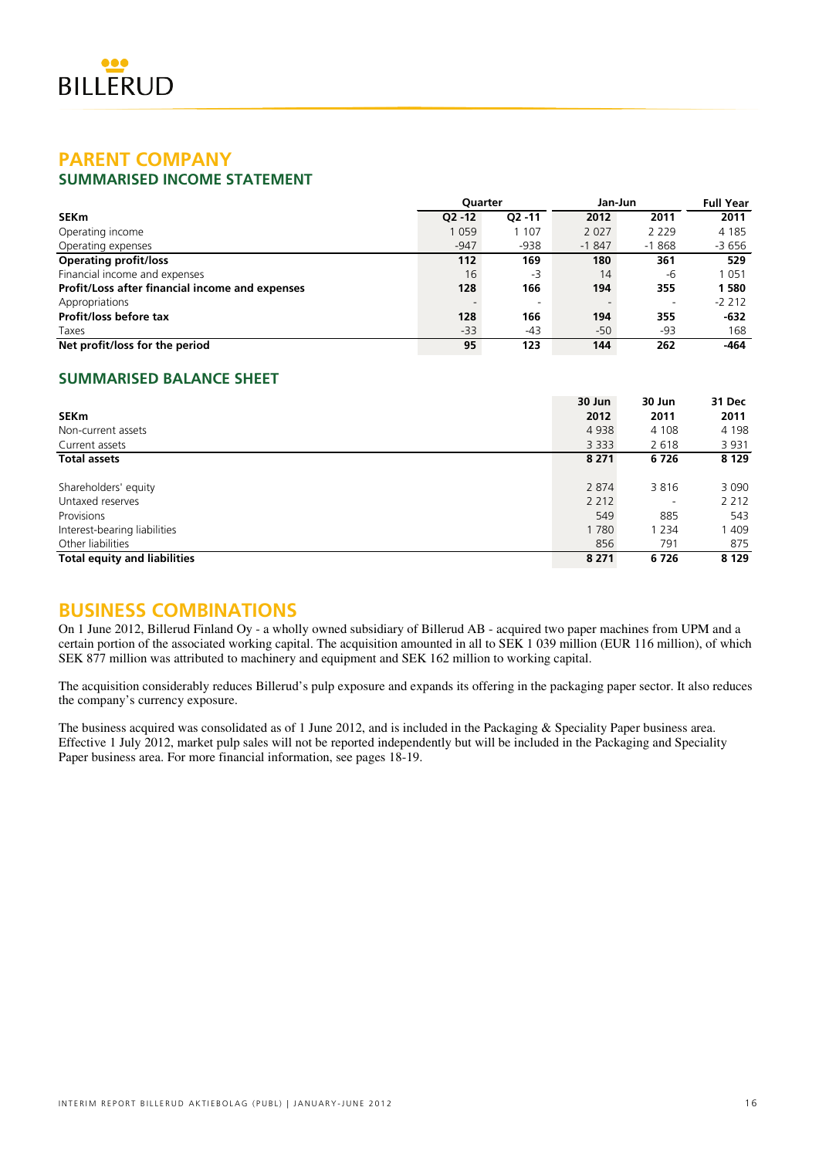# **PARENT COMPANY**

# **SUMMARISED INCOME STATEMENT**

|                                                 | <b>Ouarter</b> |                          | Jan-Jun | <b>Full Year</b>         |         |
|-------------------------------------------------|----------------|--------------------------|---------|--------------------------|---------|
| <b>SEKm</b>                                     | $O2 - 12$      | $O2 - 11$                | 2012    | 2011                     | 2011    |
| Operating income                                | 1059           | 1 107                    | 2 0 2 7 | 2 2 2 9                  | 4 1 8 5 |
| Operating expenses                              | $-947$         | $-938$                   | $-1847$ | $-1868$                  | $-3656$ |
| <b>Operating profit/loss</b>                    | 112            | 169                      | 180     | 361                      | 529     |
| Financial income and expenses                   | 16             | -3                       | 14      | -6                       | 1 0 5 1 |
| Profit/Loss after financial income and expenses | 128            | 166                      | 194     | 355                      | 1580    |
| Appropriations                                  |                | $\overline{\phantom{a}}$ |         | $\overline{\phantom{a}}$ | $-2212$ |
| Profit/loss before tax                          | 128            | 166                      | 194     | 355                      | $-632$  |
| Taxes                                           | $-33$          | $-43$                    | -50     | -93                      | 168     |
| Net profit/loss for the period                  | 95             | 123                      | 144     | 262                      | -464    |

# **SUMMARISED BALANCE SHEET**

|                                     | 30 Jun  | 30 Jun                   | 31 Dec  |
|-------------------------------------|---------|--------------------------|---------|
| <b>SEKm</b>                         | 2012    | 2011                     | 2011    |
| Non-current assets                  | 4938    | 4 1 0 8                  | 4 1 9 8 |
| Current assets                      | 3 3 3 3 | 2618                     | 3931    |
| <b>Total assets</b>                 | 8 2 7 1 | 6726                     | 8 1 2 9 |
|                                     |         |                          |         |
| Shareholders' equity                | 2 8 7 4 | 3816                     | 3 0 9 0 |
| Untaxed reserves                    | 2 2 1 2 | $\overline{\phantom{a}}$ | 2 2 1 2 |
| Provisions                          | 549     | 885                      | 543     |
| Interest-bearing liabilities        | 1780    | 1 2 3 4                  | 1 409   |
| Other liabilities                   | 856     | 791                      | 875     |
| <b>Total equity and liabilities</b> | 8 2 7 1 | 6726                     | 8 1 2 9 |

# **BUSINESS COMBINATIONS**

On 1 June 2012, Billerud Finland Oy - a wholly owned subsidiary of Billerud AB - acquired two paper machines from UPM and a certain portion of the associated working capital. The acquisition amounted in all to SEK 1 039 million (EUR 116 million), of which SEK 877 million was attributed to machinery and equipment and SEK 162 million to working capital.

The acquisition considerably reduces Billerud's pulp exposure and expands its offering in the packaging paper sector. It also reduces the company's currency exposure.

The business acquired was consolidated as of 1 June 2012, and is included in the Packaging & Speciality Paper business area. Effective 1 July 2012, market pulp sales will not be reported independently but will be included in the Packaging and Speciality Paper business area. For more financial information, see pages 18-19.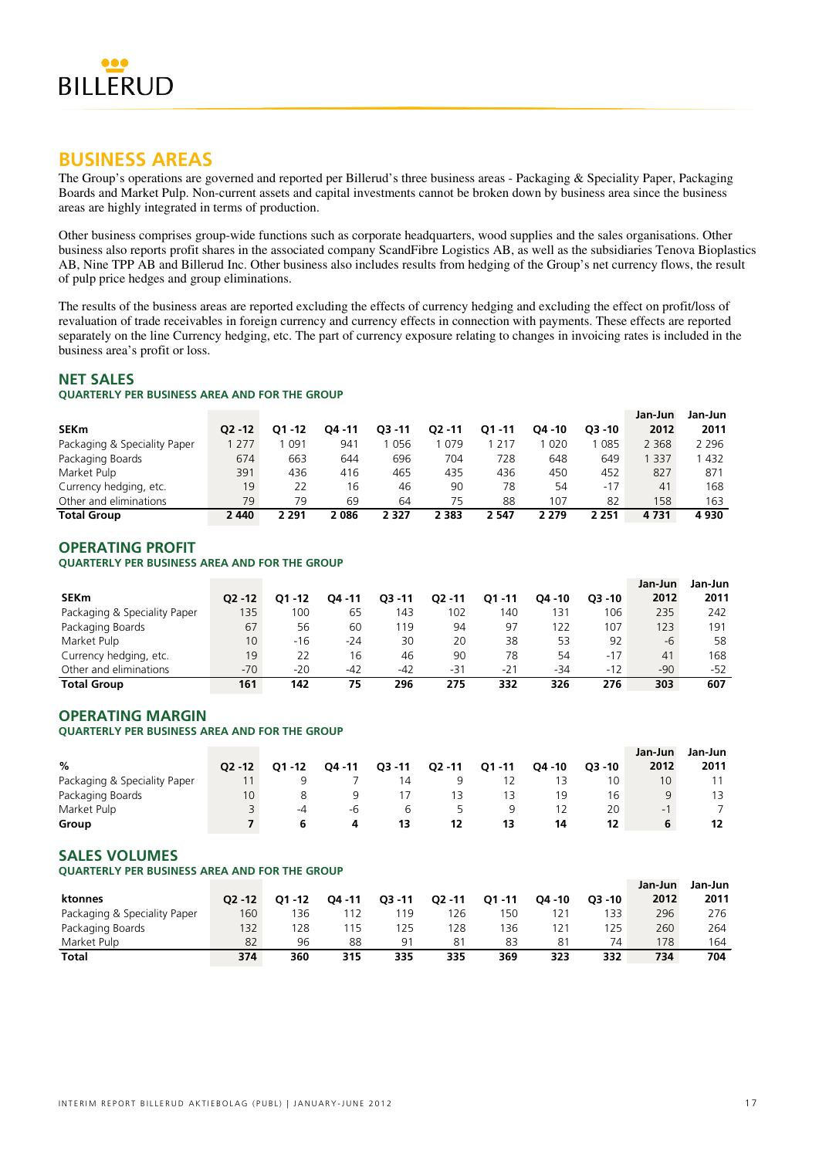

# **BUSINESS AREAS**

The Group's operations are governed and reported per Billerud's three business areas - Packaging & Speciality Paper, Packaging Boards and Market Pulp. Non-current assets and capital investments cannot be broken down by business area since the business areas are highly integrated in terms of production.

Other business comprises group-wide functions such as corporate headquarters, wood supplies and the sales organisations. Other business also reports profit shares in the associated company ScandFibre Logistics AB, as well as the subsidiaries Tenova Bioplastics AB, Nine TPP AB and Billerud Inc. Other business also includes results from hedging of the Group's net currency flows, the result of pulp price hedges and group eliminations.

The results of the business areas are reported excluding the effects of currency hedging and excluding the effect on profit/loss of revaluation of trade receivables in foreign currency and currency effects in connection with payments. These effects are reported separately on the line Currency hedging, etc. The part of currency exposure relating to changes in invoicing rates is included in the business area's profit or loss.

# **NET SALES**

### **QUARTERLY PER BUSINESS AREA AND FOR THE GROUP**

|                              |           |         |         |           |           |           |        |           | Jan-Jun | Jan-Jun |
|------------------------------|-----------|---------|---------|-----------|-----------|-----------|--------|-----------|---------|---------|
| <b>SEKm</b>                  | $02 - 12$ | 01 - 12 | 04 - 11 | $O3 - 11$ | $02 - 11$ | $O1 - 11$ | O4 -10 | $O3 - 10$ | 2012    | 2011    |
| Packaging & Speciality Paper | 277       | 091     | 941     | 056       | 079       | 217       | 020    | 085       | 2 3 6 8 | 2 2 9 6 |
| Packaging Boards             | 674       | 663     | 644     | 696       | 704       | 728       | 648    | 649       | 337     | 432     |
| Market Pulp                  | 391       | 436     | 416     | 465       | 435       | 436       | 450    | 452       | 827     | 871     |
| Currency hedging, etc.       | 19        | 22      | 16      | 46        | 90        | 78        | 54     | $-17$     | 41      | 168     |
| Other and eliminations       | 79        | 79      | 69      | 64        | 75        | 88        | 107    | 82        | 158     | 163     |
| <b>Total Group</b>           | 2 4 4 0   | 2 291   | 2086    | 2 3 2 7   | 2 3 8 3   | 2 5 4 7   | 2 279  | 2 2 5 1   | 4 731   | 4930    |

# **OPERATING PROFIT**

### **QUARTERLY PER BUSINESS AREA AND FOR THE GROUP**

|                              |                 |         |        |           |         |           |         |           | Jan-Jun | Jan-Jun |
|------------------------------|-----------------|---------|--------|-----------|---------|-----------|---------|-----------|---------|---------|
| <b>SEKm</b>                  | $O2 - 12$       | 01 - 12 | O4 -11 | $O3 - 11$ | 02 - 11 | $O1 - 11$ | O4 - 10 | $O3 - 10$ | 2012    | 2011    |
| Packaging & Speciality Paper | 135             | 100     | 65     | 143       | 102     | 40        | 131     | 106       | 235     | 242     |
| Packaging Boards             | 67              | 56      | 60     | 119       | 94      | 97        | 122     | 107       | 123     | 191     |
| Market Pulp                  | 10 <sup>°</sup> | $-16$   | $-24$  | 30        | 20      | 38        | 53      | 92        | -6      | 58      |
| Currency hedging, etc.       | 19              |         | 16     | 46        | 90      | 78        | 54      | $-17$     | 41      | 168     |
| Other and eliminations       | $-70$           | -20     | -42    | -42       | $-31$   | $-21$     | -34     | $-12$     | -90     | -52     |
| <b>Total Group</b>           | 161             | 142     | 75     | 296       | 275     | 332       | 326     | 276       | 303     | 607     |

# **OPERATING MARGIN**

### **QUARTERLY PER BUSINESS AREA AND FOR THE GROUP**

|                              |           |           |        |           |        |           |           |           | Jan-Jun                  | Jan-Jun |
|------------------------------|-----------|-----------|--------|-----------|--------|-----------|-----------|-----------|--------------------------|---------|
| %                            | $O2 - 12$ | $O1 - 12$ | O4 -11 | $Q3 - 11$ | Q2 -11 | $Q1 - 11$ | $04 - 10$ | $O3 - 10$ | 2012                     | 2011    |
| Packaging & Speciality Paper |           |           |        | 14        |        |           |           | ۱0        | 10 <sup>°</sup>          |         |
| Packaging Boards             | 10        |           |        |           |        |           | 19        | 16        | 9                        | 13      |
| Market Pulp                  |           | -4        | -h     |           |        |           |           | 20        | $\overline{\phantom{a}}$ |         |
| Group                        |           |           |        | 13        | 12     | 13        | 14        | 12        | 6                        | 12      |

### **SALES VOLUMES**

### **QUARTERLY PER BUSINESS AREA AND FOR THE GROUP**

|                              |           |           |           |           |           |           |           |           | Jan-Jun | Jan-Jun |
|------------------------------|-----------|-----------|-----------|-----------|-----------|-----------|-----------|-----------|---------|---------|
| ktonnes                      | $O2 - 12$ | $O1 - 12$ | $04 - 11$ | $O3 - 11$ | $Q2 - 11$ | $O1 - 11$ | $04 - 10$ | $O3 - 10$ | 2012    | 2011    |
| Packaging & Speciality Paper | 160       | ' 36      |           | 119       | 26        | 50 ا      |           | 133       | 296     | 276     |
| Packaging Boards             | 132       | 28        |           | 125       | 28        | 36        | 121       | 125       | 260     | 264     |
| Market Pulp                  | 82        | 96        | 88        | 91        | 81        | 83        | 81        | 74        | 178     | 164     |
| <b>Total</b>                 | 374       | 360       | 315       | 335       | 335       | 369       | 323       | 332       | 734     | 704     |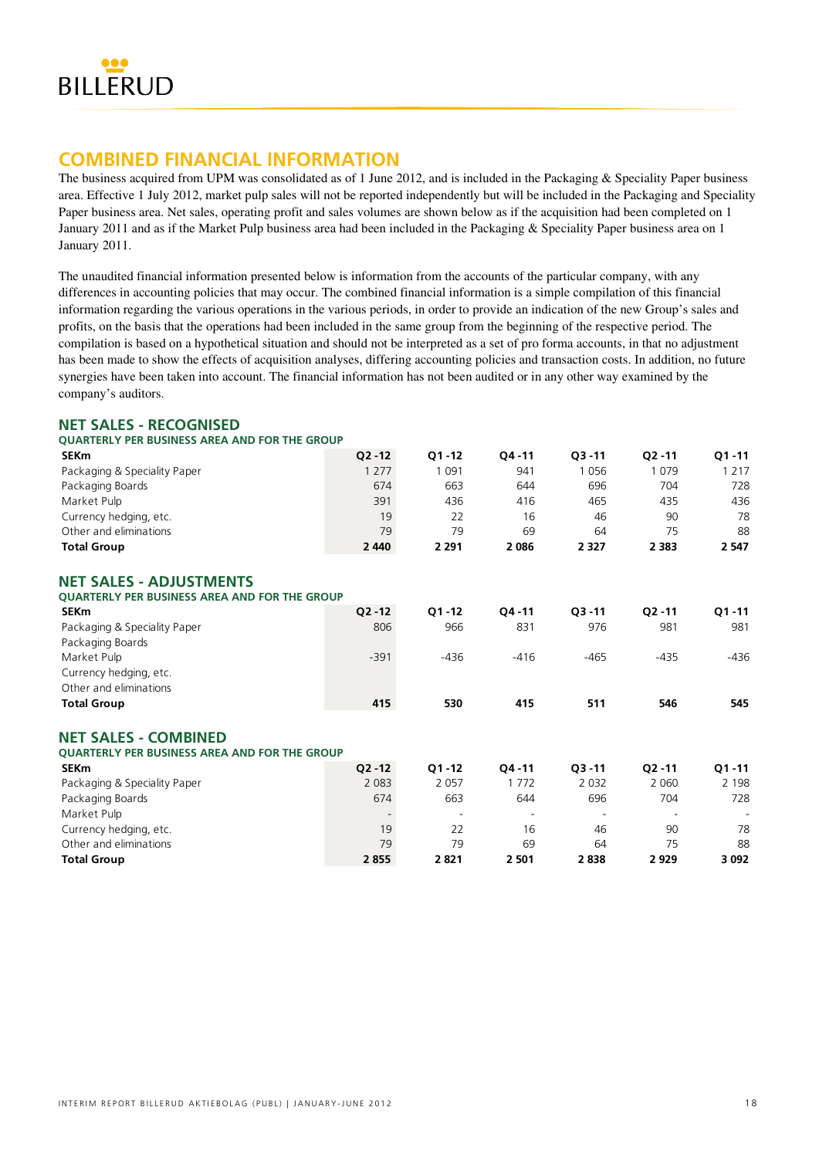

# **COMBINED FINANCIAL INFORMATION**

The business acquired from UPM was consolidated as of 1 June 2012, and is included in the Packaging & Speciality Paper business area. Effective 1 July 2012, market pulp sales will not be reported independently but will be included in the Packaging and Speciality Paper business area. Net sales, operating profit and sales volumes are shown below as if the acquisition had been completed on 1 January 2011 and as if the Market Pulp business area had been included in the Packaging & Speciality Paper business area on 1 January 2011.

The unaudited financial information presented below is information from the accounts of the particular company, with any differences in accounting policies that may occur. The combined financial information is a simple compilation of this financial information regarding the various operations in the various periods, in order to provide an indication of the new Group's sales and profits, on the basis that the operations had been included in the same group from the beginning of the respective period. The compilation is based on a hypothetical situation and should not be interpreted as a set of pro forma accounts, in that no adjustment has been made to show the effects of acquisition analyses, differing accounting policies and transaction costs. In addition, no future synergies have been taken into account. The financial information has not been audited or in any other way examined by the company's auditors.

# **NET SALES - RECOGNISED**

| <b>OUARTERLY PER BUSINESS AREA AND FOR THE GROUP</b> |           |           |           |           |           |           |
|------------------------------------------------------|-----------|-----------|-----------|-----------|-----------|-----------|
| <b>SEKm</b>                                          | $O2 - 12$ | $O1 - 12$ | $Q4 - 11$ | $03 - 11$ | $O2 - 11$ | $Q1 - 11$ |
| Packaging & Speciality Paper                         | 1 2 7 7   | 1 0 9 1   | 941       | 1056      | 1079      | 1 2 1 7   |
| Packaging Boards                                     | 674       | 663       | 644       | 696       | 704       | 728       |
| Market Pulp                                          | 391       | 436       | 416       | 465       | 435       | 436       |
| Currency hedging, etc.                               | 19        | 22        | 16        | 46        | 90        | 78        |
| Other and eliminations                               | 79        | 79        | 69        | 64        | 75        | 88        |
| <b>Total Group</b>                                   | 2 4 4 0   | 2 2 9 1   | 2 0 8 6   | 2 3 2 7   | 2 3 8 3   | 2 5 4 7   |
| <b>NET SALES - ADJUSTMENTS</b>                       |           |           |           |           |           |           |
| <b>QUARTERLY PER BUSINESS AREA AND FOR THE GROUP</b> |           |           |           |           |           |           |
| <b>SEKm</b>                                          | $Q2 - 12$ | $Q1 - 12$ | $Q4 - 11$ | $Q3 - 11$ | $Q2 - 11$ | $Q1 - 11$ |
| Packaging & Speciality Paper                         | 806       | 966       | 831       | 976       | 981       | 981       |
| Packaging Boards                                     |           |           |           |           |           |           |
| Market Pulp                                          | $-391$    | $-436$    | $-416$    | $-465$    | $-435$    | $-436$    |
| Currency hedging, etc.                               |           |           |           |           |           |           |
| Other and eliminations                               |           |           |           |           |           |           |
| <b>Total Group</b>                                   | 415       | 530       | 415       | 511       | 546       | 545       |
| <b>NET SALES - COMBINED</b>                          |           |           |           |           |           |           |
| <b>OUARTERLY PER BUSINESS AREA AND FOR THE GROUP</b> |           |           |           |           |           |           |
| <b>SEKm</b>                                          | $Q2 - 12$ | $Q1 - 12$ | $Q4 - 11$ | $Q3 - 11$ | $Q2 - 11$ | $Q1 - 11$ |
| Packaging & Speciality Paper                         | 2 0 8 3   | 2 0 5 7   | 1 7 7 2   | 2 0 3 2   | 2 0 6 0   | 2 1 9 8   |
| Packaging Boards                                     | 674       | 663       | 644       | 696       | 704       | 728       |
| Market Pulp                                          |           |           |           |           |           |           |
| Currency hedging, etc.                               | 19        | 22        | 16        | 46        | 90        | 78        |
| Other and eliminations                               | 79        | 79        | 69        | 64        | 75        | 88        |
| <b>Total Group</b>                                   | 2855      | 2821      | 2 501     | 2838      | 2929      | 3 0 9 2   |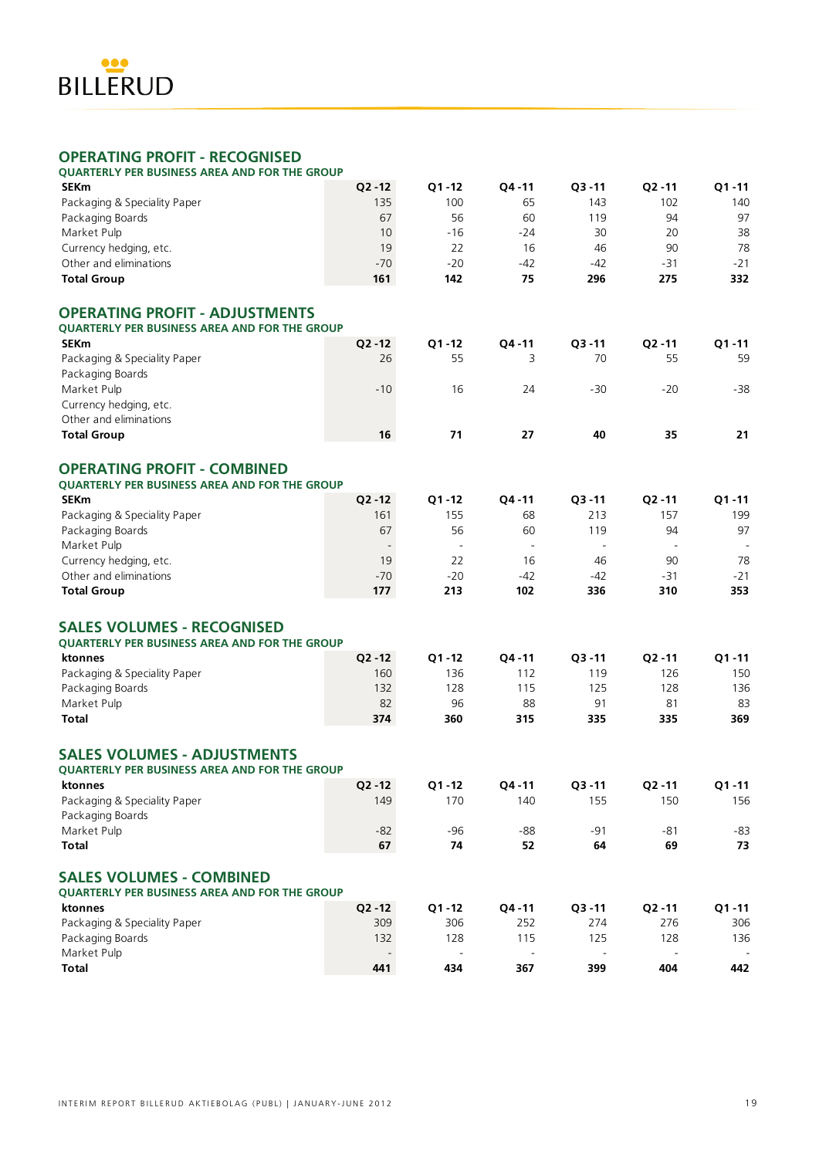

# **OPERATING PROFIT - RECOGNISED**

| <b>OUARTERLY PER BUSINESS AREA AND FOR THE GROUP</b> |                 |                          |                          |                          |                          |           |
|------------------------------------------------------|-----------------|--------------------------|--------------------------|--------------------------|--------------------------|-----------|
| <b>SEKm</b>                                          | $Q2 - 12$       | $Q1 - 12$                | Q4-11                    | $Q3 - 11$                | $Q2 - 11$                | $Q1 - 11$ |
| Packaging & Speciality Paper                         | 135             | 100                      | 65                       | 143                      | 102                      | 140       |
| Packaging Boards                                     | 67              | 56                       | 60                       | 119                      | 94                       | 97        |
| Market Pulp                                          | 10              | $-16$                    | $-24$                    | 30                       | 20                       | 38        |
| Currency hedging, etc.                               | 19              | 22                       | 16                       | 46                       | 90                       | 78        |
| Other and eliminations                               | $-70$           | $-20$                    | $-42$                    | -42                      | $-31$                    | $-21$     |
| <b>Total Group</b>                                   | 161             | 142                      | 75                       | 296                      | 275                      | 332       |
| <b>OPERATING PROFIT - ADJUSTMENTS</b>                |                 |                          |                          |                          |                          |           |
| QUARTERLY PER BUSINESS AREA AND FOR THE GROUP        |                 |                          |                          |                          |                          |           |
| <b>SEKm</b>                                          | $Q2 - 12$<br>26 | $Q1 - 12$<br>55          | Q4-11                    | $Q3 - 11$<br>70          | $Q2 - 11$<br>55          | $Q1 - 11$ |
| Packaging & Speciality Paper                         |                 |                          | 3                        |                          |                          | 59        |
| Packaging Boards                                     |                 |                          | 24                       |                          |                          |           |
| Market Pulp<br>Currency hedging, etc.                | $-10$           | 16                       |                          | $-30$                    | $-20$                    | $-38$     |
| Other and eliminations                               |                 |                          |                          |                          |                          |           |
| <b>Total Group</b>                                   | 16              | 71                       | 27                       | 40                       | 35                       | 21        |
|                                                      |                 |                          |                          |                          |                          |           |
| <b>OPERATING PROFIT - COMBINED</b>                   |                 |                          |                          |                          |                          |           |
| <b>OUARTERLY PER BUSINESS AREA AND FOR THE GROUP</b> |                 |                          |                          |                          |                          |           |
| <b>SEKm</b>                                          | $Q2 - 12$       | $Q1 - 12$                | Q4-11                    | $Q3 - 11$                | $Q2 - 11$                | $Q1 - 11$ |
| Packaging & Speciality Paper                         | 161             | 155                      | 68                       | 213                      | 157                      | 199       |
| Packaging Boards                                     | 67              | 56                       | 60                       | 119                      | 94                       | 97        |
| Market Pulp                                          |                 | $\overline{\phantom{a}}$ | $\overline{\phantom{a}}$ | $\overline{\phantom{a}}$ | $\overline{\phantom{a}}$ |           |
| Currency hedging, etc.                               | 19              | 22                       | 16                       | 46                       | 90                       | 78        |
| Other and eliminations                               | $-70$           | $-20$                    | $-42$                    | $-42$                    | $-31$                    | $-21$     |
| <b>Total Group</b>                                   | 177             | 213                      | 102                      | 336                      | 310                      | 353       |
| <b>SALES VOLUMES - RECOGNISED</b>                    |                 |                          |                          |                          |                          |           |
| <b>QUARTERLY PER BUSINESS AREA AND FOR THE GROUP</b> |                 |                          |                          |                          |                          |           |
| ktonnes                                              | $Q2 - 12$       | $Q1 - 12$                | $Q4 - 11$                | $Q3 - 11$                | $Q2 - 11$                | $Q1 - 11$ |
| Packaging & Speciality Paper                         | 160             | 136                      | 112                      | 119                      | 126                      | 150       |
| Packaging Boards                                     | 132             | 128                      | 115                      | 125                      | 128                      | 136       |
| Market Pulp                                          | 82              | 96                       | 88                       | 91                       | 81                       | 83        |
| <b>Total</b>                                         | 374             | 360                      | 315                      | 335                      | 335                      | 369       |
| <b>SALES VOLUMES - ADJUSTMENTS</b>                   |                 |                          |                          |                          |                          |           |
| <b>QUARTERLY PER BUSINESS AREA AND FOR THE GROUP</b> |                 |                          |                          |                          |                          |           |
| ktonnes                                              | $Q2 - 12$       | $Q1 - 12$                | Q4-11                    | $Q3 - 11$                | $Q2 - 11$                | $Q1 - 11$ |
| Packaging & Speciality Paper                         | 149             | 170                      | 140                      | 155                      | 150                      | 156       |
| Packaging Boards                                     |                 |                          |                          |                          |                          |           |
| Market Pulp                                          | $-82$           | $-96$                    | $-88$                    | -91                      | -81                      | $-83$     |
| <b>Total</b>                                         | 67              | 74                       | 52                       | 64                       | 69                       | 73        |
| <b>SALES VOLUMES - COMBINED</b>                      |                 |                          |                          |                          |                          |           |
| <b>OUARTERLY PER BUSINESS AREA AND FOR THE GROUP</b> |                 |                          |                          |                          |                          |           |
| ktonnes                                              | $Q2 - 12$       | $Q1 - 12$                | Q4-11                    | $Q3 - 11$                | $Q2 - 11$                | $Q1 - 11$ |
| Packaging & Speciality Paper                         | 309             | 306                      | 252                      | 274                      | 276                      | 306       |
| Packaging Boards                                     | 132             | 128                      | 115                      | 125                      | 128                      | 136       |
| Market Pulp                                          |                 |                          |                          |                          |                          |           |
| <b>Total</b>                                         | 441             | 434                      | 367                      | 399                      | 404                      | 442       |